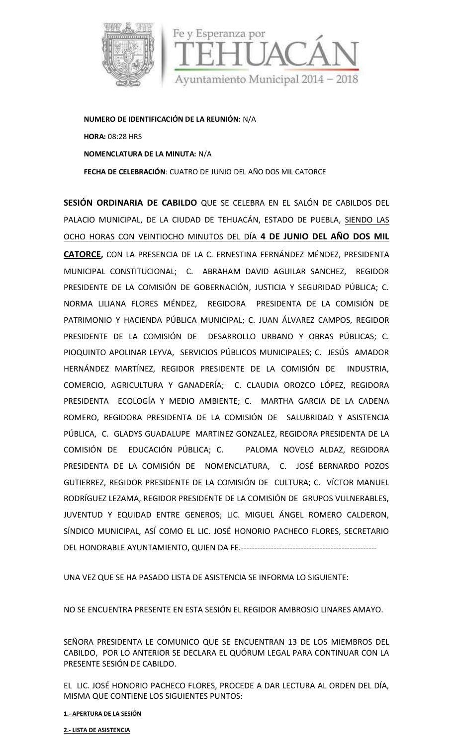

**NUMERO DE IDENTIFICACIÓN DE LA REUNIÓN:** N/A **HORA:** 08:28 HRS **NOMENCLATURA DE LA MINUTA:** N/A **FECHA DE CELEBRACIÓN**: CUATRO DE JUNIO DELAÑO DOS MIL CATORCE

**SESIÓN ORDINARIA DE CABILDO** QUE SE CELEBRA EN EL SALÓN DE CABILDOS DEL PALACIO MUNICIPAL, DE LA CIUDAD DE TEHUACÁN, ESTADO DE PUEBLA, SIENDO LAS OCHO HORAS CON VEINTIOCHO MINUTOS DEL DÍA **4 DE JUNIO DEL AÑO DOS MIL CATORCE,** CON LA PRESENCIA DE LA C. ERNESTINA FERNÁNDEZ MÉNDEZ, PRESIDENTA MUNICIPAL CONSTITUCIONAL; C. ABRAHAM DAVID AGUILAR SANCHEZ, REGIDOR PRESIDENTE DE LA COMISIÓN DE GOBERNACIÓN, JUSTICIA Y SEGURIDAD PÚBLICA; C. NORMA LILIANA FLORES MÉNDEZ, REGIDORA PRESIDENTA DE LA COMISIÓN DE PATRIMONIO Y HACIENDA PÚBLICA MUNICIPAL; C. JUAN ÁLVAREZ CAMPOS, REGIDOR PRESIDENTE DE LA COMISIÓN DE DESARROLLO URBANO Y OBRAS PÚBLICAS; C. PIOQUINTO APOLINAR LEYVA, SERVICIOS PÚBLICOS MUNICIPALES; C. JESÚS AMADOR HERNÁNDEZ MARTÍNEZ, REGIDOR PRESIDENTE DE LA COMISIÓN DE INDUSTRIA, COMERCIO, AGRICULTURA Y GANADERÍA; C. CLAUDIA OROZCO LÓPEZ, REGIDORA PRESIDENTA ECOLOGÍA Y MEDIO AMBIENTE; C. MARTHA GARCIA DE LA CADENA ROMERO, REGIDORA PRESIDENTA DE LA COMISIÓN DE SALUBRIDAD Y ASISTENCIA PÚBLICA, C. GLADYS GUADALUPE MARTINEZ GONZALEZ, REGIDORA PRESIDENTA DE LA COMISIÓN DE EDUCACIÓN PÚBLICA; C. PALOMA NOVELO ALDAZ, REGIDORA PRESIDENTA DE LA COMISIÓN DE NOMENCLATURA, C. JOSÉ BERNARDO POZOS GUTIERREZ, REGIDOR PRESIDENTE DE LA COMISIÓN DE CULTURA; C. VÍCTOR MANUEL RODRÍGUEZ LEZAMA, REGIDOR PRESIDENTE DE LA COMISIÓN DE GRUPOS VULNERABLES, JUVENTUD Y EQUIDAD ENTRE GENEROS; LIC. MIGUEL ÁNGEL ROMERO CALDERON, SÍNDICO MUNICIPAL, ASÍ COMO EL LIC. JOSÉ HONORIO PACHECO FLORES, SECRETARIO DEL HONORABLE AYUNTAMIENTO, QUIEN DA FE.--------------------------------------------------

UNA VEZ QUE SE HA PASADO LISTA DE ASISTENCIA SE INFORMA LO SIGUIENTE:

NO SE ENCUENTRA PRESENTE EN ESTA SESIÓN EL REGIDOR AMBROSIO LINARES AMAYO.

SEÑORA PRESIDENTA LE COMUNICO QUE SE ENCUENTRAN 13 DE LOS MIEMBROS DEL CABILDO, POR LO ANTERIOR SE DECLARA EL QUÓRUM LEGAL PARA CONTINUAR CON LA PRESENTE SESIÓN DE CABILDO.

EL LIC. JOSÉ HONORIO PACHECO FLORES, PROCEDE A DAR LECTURA AL ORDEN DEL DÍA, MISMA QUE CONTIENE LOS SIGUIENTES PUNTOS:

**1.- APERTURA DE LA SESIÓN**

**2.- LISTA DE ASISTENCIA**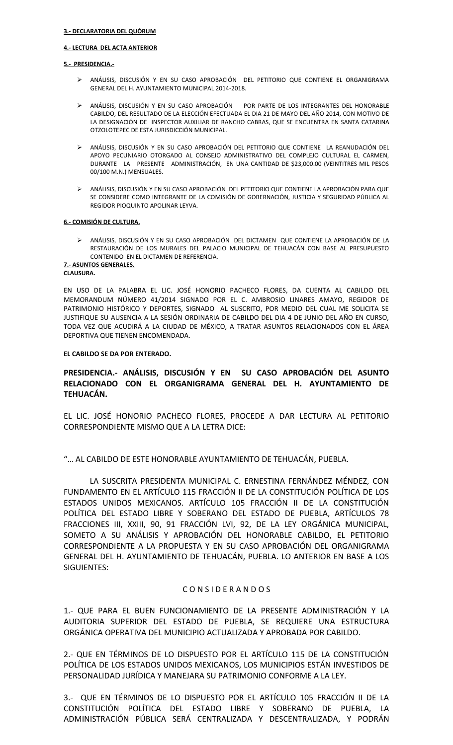#### **4.- LECTURA DEL ACTA ANTERIOR**

#### **5.- PRESIDENCIA.-**

- ANÁLISIS, DISCUSIÓN Y EN SU CASO APROBACIÓN DEL PETITORIO QUE CONTIENE EL ORGANIGRAMA GENERAL DEL H. AYUNTAMIENTO MUNICIPAL 2014-2018.
- ANÁLISIS, DISCUSIÓN Y EN SU CASO APROBACIÓN POR PARTE DE LOS INTEGRANTES DEL HONORABLE CABILDO, DEL RESULTADO DE LA ELECCIÓN EFECTUADA EL DIA 21 DE MAYO DEL AÑO 2014, CON MOTIVO DE LA DESIGNACIÓN DE INSPECTOR AUXILIAR DE RANCHO CABRAS, QUE SE ENCUENTRA EN SANTA CATARINA OTZOLOTEPEC DE ESTA JURISDICCIÓN MUNICIPAL.
- ANÁLISIS, DISCUSIÓN Y EN SU CASO APROBACIÓN DEL PETITORIO QUE CONTIENE LA REANUDACIÓN DEL APOYO PECUNIARIO OTORGADO AL CONSEJO ADMINISTRATIVO DEL COMPLEJO CULTURAL EL CARMEN, DURANTE LA PRESENTE ADMINISTRACIÓN, EN UNA CANTIDAD DE \$23,000.00 (VEINTITRES MIL PESOS 00/100 M.N.) MENSUALES.
- ANÁLISIS, DISCUSIÓN Y EN SU CASO APROBACIÓN DEL PETITORIO QUE CONTIENE LA APROBACIÓN PARA QUE SE CONSIDERE COMO INTEGRANTE DE LA COMISIÓN DE GOBERNACIÓN, JUSTICIA Y SEGURIDAD PÚBLICA AL REGIDOR PIOQUINTO APOLINAR LEYVA.

#### **6.- COMISIÓN DE CULTURA.**

 ANÁLISIS, DISCUSIÓN Y EN SU CASO APROBACIÓN DEL DICTAMEN QUE CONTIENE LA APROBACIÓN DE LA RESTAURACIÓN DE LOS MURALES DEL PALACIO MUNICIPAL DE TEHUACÁN CON BASE AL PRESUPUESTO CONTENIDO EN EL DICTAMEN DE REFERENCIA.

**7.- ASUNTOS GENERALES.**

#### **CLAUSURA.**

EN USO DE LA PALABRA EL LIC. JOSÉ HONORIO PACHECO FLORES, DA CUENTA AL CABILDO DEL MEMORANDUM NÚMERO 41/2014 SIGNADO POR EL C. AMBROSIO LINARES AMAYO, REGIDOR DE PATRIMONIO HISTÓRICO Y DEPORTES, SIGNADO AL SUSCRITO, POR MEDIO DEL CUAL ME SOLICITA SE JUSTIFIQUE SU AUSENCIA A LA SESIÓN ORDINARIA DE CABILDO DEL DIA 4 DE JUNIO DEL AÑO EN CURSO, TODA VEZ QUE ACUDIRÁ A LA CIUDAD DE MÉXICO, A TRATAR ASUNTOS RELACIONADOS CON EL ÁREA DEPORTIVA QUE TIENEN ENCOMENDADA.

#### **EL CABILDO SE DA POR ENTERADO.**

## **PRESIDENCIA.- ANÁLISIS, DISCUSIÓN Y EN SU CASO APROBACIÓN DEL ASUNTO RELACIONADO CON EL ORGANIGRAMA GENERAL DEL H. AYUNTAMIENTO DE TEHUACÁN.**

EL LIC. JOSÉ HONORIO PACHECO FLORES, PROCEDE A DAR LECTURA AL PETITORIO CORRESPONDIENTE MISMO QUE A LA LETRA DICE:

"… AL CABILDO DE ESTE HONORABLE AYUNTAMIENTO DE TEHUACÁN, PUEBLA.

LA SUSCRITA PRESIDENTA MUNICIPAL C. ERNESTINA FERNÁNDEZ MÉNDEZ, CON FUNDAMENTO EN EL ARTÍCULO 115 FRACCIÓN II DE LA CONSTITUCIÓN POLÍTICA DE LOS ESTADOS UNIDOS MEXICANOS. ARTÍCULO 105 FRACCIÓN II DE LA CONSTITUCIÓN POLÍTICA DEL ESTADO LIBRE Y SOBERANO DEL ESTADO DE PUEBLA, ARTÍCULOS 78 FRACCIONES III, XXIII, 90, 91 FRACCIÓN LVI, 92, DE LA LEY ORGÁNICA MUNICIPAL, SOMETO A SU ANÁLISIS Y APROBACIÓN DEL HONORABLE CABILDO, EL PETITORIO CORRESPONDIENTE A LA PROPUESTA Y EN SU CASO APROBACIÓN DEL ORGANIGRAMA GENERAL DEL H. AYUNTAMIENTO DE TEHUACÁN, PUEBLA. LO ANTERIOR EN BASE A LOS SIGUIENTES:

#### C O N S I D E R A N D O S

1.- QUE PARA EL BUEN FUNCIONAMIENTO DE LA PRESENTE ADMINISTRACIÓN Y LA AUDITORIA SUPERIOR DEL ESTADO DE PUEBLA, SE REQUIERE UNA ESTRUCTURA ORGÁNICA OPERATIVA DEL MUNICIPIO ACTUALIZADA Y APROBADA POR CABILDO.

2.- QUE EN TÉRMINOS DE LO DISPUESTO POR EL ARTÍCULO 115 DE LA CONSTITUCIÓN POLÍTICA DE LOS ESTADOS UNIDOS MEXICANOS, LOS MUNICIPIOS ESTÁN INVESTIDOS DE PERSONALIDAD JURÍDICA Y MANEJARA SU PATRIMONIO CONFORME A LA LEY.

3.- QUE EN TÉRMINOS DE LO DISPUESTO POR EL ARTÍCULO 105 FRACCIÓN II DE LA CONSTITUCIÓN POLÍTICA DEL ESTADO LIBRE Y SOBERANO DE PUEBLA, LA ADMINISTRACIÓN PÚBLICA SERÁ CENTRALIZADA Y DESCENTRALIZADA, Y PODRÁN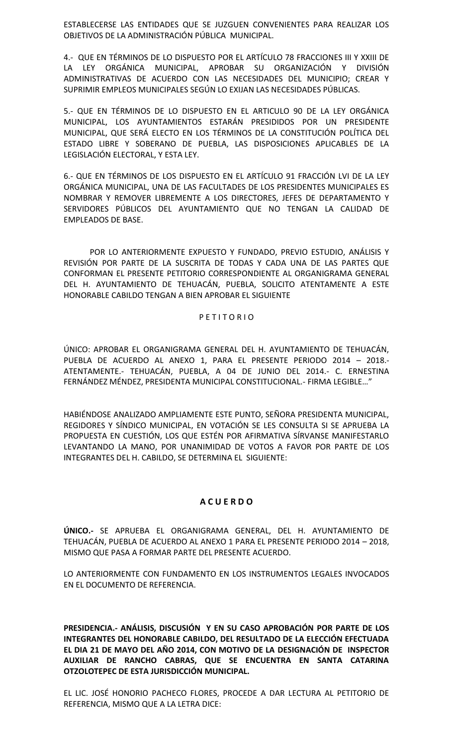ESTABLECERSE LAS ENTIDADES QUE SE JUZGUEN CONVENIENTES PARA REALIZAR LOS OBJETIVOS DE LA ADMINISTRACIÓN PÚBLICA MUNICIPAL.

4.- QUE EN TÉRMINOS DE LO DISPUESTO POR EL ARTÍCULO 78 FRACCIONES III Y XXIII DE LA LEY ORGÁNICA MUNICIPAL, APROBAR SU ORGANIZACIÓN Y DIVISIÓN ADMINISTRATIVAS DE ACUERDO CON LAS NECESIDADES DEL MUNICIPIO; CREAR Y SUPRIMIR EMPLEOS MUNICIPALES SEGÚN LO EXIJAN LAS NECESIDADES PÚBLICAS.

5.- QUE EN TÉRMINOS DE LO DISPUESTO EN EL ARTICULO 90 DE LA LEY ORGÁNICA MUNICIPAL, LOS AYUNTAMIENTOS ESTARÁN PRESIDIDOS POR UN PRESIDENTE MUNICIPAL, QUE SERÁ ELECTO EN LOS TÉRMINOS DE LA CONSTITUCIÓN POLÍTICA DEL ESTADO LIBRE Y SOBERANO DE PUEBLA, LAS DISPOSICIONES APLICABLES DE LA LEGISLACIÓN ELECTORAL, Y ESTA LEY.

6.- QUE EN TÉRMINOS DE LOS DISPUESTO EN EL ARTÍCULO 91 FRACCIÓN LVI DE LA LEY ORGÁNICA MUNICIPAL, UNA DE LAS FACULTADES DE LOS PRESIDENTES MUNICIPALES ES NOMBRAR Y REMOVER LIBREMENTE A LOS DIRECTORES, JEFES DE DEPARTAMENTO Y SERVIDORES PÚBLICOS DEL AYUNTAMIENTO QUE NO TENGAN LA CALIDAD DE EMPLEADOS DE BASE.

POR LO ANTERIORMENTE EXPUESTO Y FUNDADO, PREVIO ESTUDIO, ANÁLISIS Y REVISIÓN POR PARTE DE LA SUSCRITA DE TODAS Y CADA UNA DE LAS PARTES QUE CONFORMAN EL PRESENTE PETITORIO CORRESPONDIENTE AL ORGANIGRAMA GENERAL DEL H. AYUNTAMIENTO DE TEHUACÁN, PUEBLA, SOLICITO ATENTAMENTE A ESTE HONORABLE CABILDO TENGAN A BIEN APROBAR EL SIGUIENTE

#### P E T I T O R I O

ÚNICO: APROBAR EL ORGANIGRAMA GENERAL DEL H. AYUNTAMIENTO DE TEHUACÁN, PUEBLA DE ACUERDO AL ANEXO 1, PARA EL PRESENTE PERIODO 2014 – 2018.- ATENTAMENTE.- TEHUACÁN, PUEBLA, A 04 DE JUNIO DEL 2014.- C. ERNESTINA FERNÁNDEZ MÉNDEZ, PRESIDENTA MUNICIPAL CONSTITUCIONAL.- FIRMA LEGIBLE…"

HABIÉNDOSE ANALIZADO AMPLIAMENTE ESTE PUNTO, SEÑORA PRESIDENTA MUNICIPAL, REGIDORES Y SÍNDICO MUNICIPAL, EN VOTACIÓN SE LES CONSULTA SI SE APRUEBA LA PROPUESTA EN CUESTIÓN, LOS QUE ESTÉN POR AFIRMATIVA SÍRVANSE MANIFESTARLO LEVANTANDO LA MANO, POR UNANIMIDAD DE VOTOS A FAVOR POR PARTE DE LOS INTEGRANTES DEL H. CABILDO, SE DETERMINA EL SIGUIENTE:

# **A C U E R D O**

**ÚNICO.-** SE APRUEBA EL ORGANIGRAMA GENERAL, DEL H. AYUNTAMIENTO DE TEHUACÁN, PUEBLA DE ACUERDO AL ANEXO 1 PARA EL PRESENTE PERIODO 2014 – 2018, MISMO QUE PASA A FORMAR PARTE DEL PRESENTE ACUERDO.

LO ANTERIORMENTE CON FUNDAMENTO EN LOS INSTRUMENTOS LEGALES INVOCADOS EN EL DOCUMENTO DE REFERENCIA.

**PRESIDENCIA.- ANÁLISIS, DISCUSIÓN Y EN SU CASO APROBACIÓN POR PARTE DE LOS INTEGRANTES DEL HONORABLE CABILDO, DEL RESULTADO DE LA ELECCIÓN EFECTUADA EL DIA 21 DE MAYO DEL AÑO 2014, CON MOTIVO DE LA DESIGNACIÓN DE INSPECTOR AUXILIAR DE RANCHO CABRAS, QUE SE ENCUENTRA EN SANTA CATARINA OTZOLOTEPEC DE ESTA JURISDICCIÓN MUNICIPAL.**

EL LIC. JOSÉ HONORIO PACHECO FLORES, PROCEDE A DAR LECTURA AL PETITORIO DE REFERENCIA, MISMO QUE A LA LETRA DICE: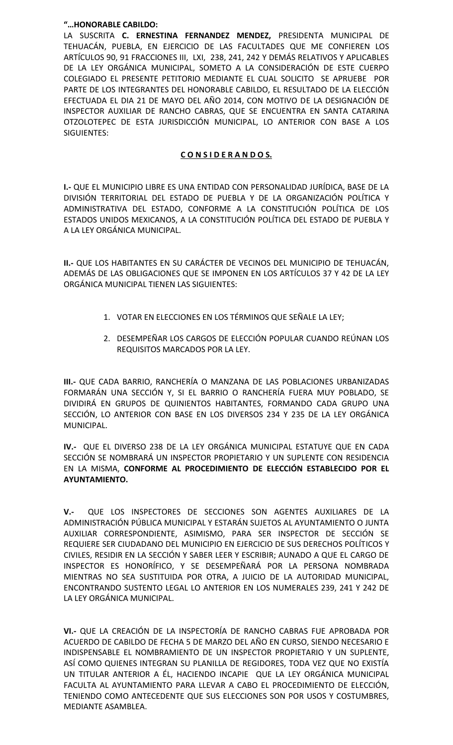## **"…HONORABLE CABILDO:**

LA SUSCRITA **C. ERNESTINA FERNANDEZ MENDEZ,** PRESIDENTA MUNICIPAL DE TEHUACÁN, PUEBLA, EN EJERCICIO DE LAS FACULTADES QUE ME CONFIEREN LOS ARTÍCULOS 90, 91 FRACCIONES III, LXI, 238, 241, 242 Y DEMÁS RELATIVOS Y APLICABLES DE LA LEY ORGÁNICA MUNICIPAL, SOMETO A LA CONSIDERACIÓN DE ESTE CUERPO COLEGIADO EL PRESENTE PETITORIO MEDIANTE EL CUAL SOLICITO SE APRUEBE POR PARTE DE LOS INTEGRANTES DEL HONORABLE CABILDO, EL RESULTADO DE LA ELECCIÓN EFECTUADA EL DIA 21 DE MAYO DEL AÑO 2014, CON MOTIVO DE LA DESIGNACIÓN DE INSPECTOR AUXILIAR DE RANCHO CABRAS, QUE SE ENCUENTRA EN SANTA CATARINA OTZOLOTEPEC DE ESTA JURISDICCIÓN MUNICIPAL, LO ANTERIOR CON BASE A LOS SIGUIENTES:

# **C O N S I D E R A N D O S.**

**I.-** QUE EL MUNICIPIO LIBRE ES UNA ENTIDAD CON PERSONALIDAD JURÍDICA, BASE DE LA DIVISIÓN TERRITORIAL DEL ESTADO DE PUEBLA Y DE LA ORGANIZACIÓN POLÍTICA Y ADMINISTRATIVA DEL ESTADO, CONFORME A LA CONSTITUCIÓN POLÍTICA DE LOS ESTADOS UNIDOS MEXICANOS, A LA CONSTITUCIÓN POLÍTICA DEL ESTADO DE PUEBLA Y A LA LEY ORGÁNICA MUNICIPAL.

**II.-** QUE LOS HABITANTES EN SU CARÁCTER DE VECINOS DEL MUNICIPIO DE TEHUACÁN, ADEMÁS DE LAS OBLIGACIONES QUE SE IMPONEN EN LOS ARTÍCULOS 37 Y 42 DE LA LEY ORGÁNICA MUNICIPAL TIENEN LAS SIGUIENTES:

- 1. VOTAR EN ELECCIONES EN LOS TÉRMINOS QUE SEÑALE LA LEY;
- 2. DESEMPEÑAR LOS CARGOS DE ELECCIÓN POPULAR CUANDO REÚNAN LOS REQUISITOS MARCADOS POR LA LEY.

**III.-** QUE CADA BARRIO, RANCHERÍA O MANZANA DE LAS POBLACIONES URBANIZADAS FORMARÁN UNA SECCIÓN Y, SI EL BARRIO O RANCHERÍA FUERA MUY POBLADO, SE DIVIDIRÁ EN GRUPOS DE QUINIENTOS HABITANTES, FORMANDO CADA GRUPO UNA SECCIÓN, LO ANTERIOR CON BASE EN LOS DIVERSOS 234 Y 235 DE LA LEY ORGÁNICA MUNICIPAL.

**IV.-** QUE EL DIVERSO 238 DE LA LEY ORGÁNICA MUNICIPAL ESTATUYE QUE EN CADA SECCIÓN SE NOMBRARÁ UN INSPECTOR PROPIETARIO Y UN SUPLENTE CON RESIDENCIA EN LA MISMA, **CONFORME AL PROCEDIMIENTO DE ELECCIÓN ESTABLECIDO POR EL AYUNTAMIENTO.**

**V.-** QUE LOS INSPECTORES DE SECCIONES SON AGENTES AUXILIARES DE LA ADMINISTRACIÓN PÚBLICA MUNICIPAL Y ESTARÁN SUJETOS AL AYUNTAMIENTO O JUNTA AUXILIAR CORRESPONDIENTE, ASIMISMO, PARA SER INSPECTOR DE SECCIÓN SE REQUIERE SER CIUDADANO DEL MUNICIPIO EN EJERCICIO DE SUS DERECHOS POLÍTICOS Y CIVILES, RESIDIR EN LA SECCIÓN Y SABER LEER Y ESCRIBIR; AUNADO A QUE EL CARGO DE INSPECTOR ES HONORÍFICO, Y SE DESEMPEÑARÁ POR LA PERSONA NOMBRADA MIENTRAS NO SEA SUSTITUIDA POR OTRA, A JUICIO DE LA AUTORIDAD MUNICIPAL, ENCONTRANDO SUSTENTO LEGAL LO ANTERIOR EN LOS NUMERALES 239, 241 Y 242 DE LA LEY ORGÁNICA MUNICIPAL.

**VI.-** QUE LA CREACIÓN DE LA INSPECTORÍA DE RANCHO CABRAS FUE APROBADA POR ACUERDO DE CABILDO DE FECHA 5 DE MARZO DEL AÑO EN CURSO, SIENDO NECESARIO E INDISPENSABLE EL NOMBRAMIENTO DE UN INSPECTOR PROPIETARIO Y UN SUPLENTE, ASÍ COMO QUIENES INTEGRAN SU PLANILLA DE REGIDORES, TODA VEZ QUE NO EXISTÍA UN TITULAR ANTERIOR A ÉL, HACIENDO INCAPIE QUE LA LEY ORGÁNICA MUNICIPAL FACULTA AL AYUNTAMIENTO PARA LLEVAR A CABO EL PROCEDIMIENTO DE ELECCIÓN, TENIENDO COMO ANTECEDENTE QUE SUS ELECCIONES SON POR USOS Y COSTUMBRES, MEDIANTE ASAMBLEA.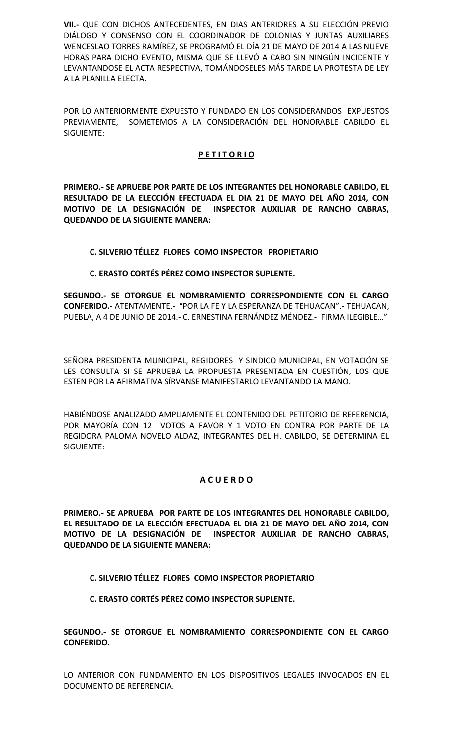**VII.-** QUE CON DICHOS ANTECEDENTES, EN DIAS ANTERIORES A SU ELECCIÓN PREVIO DIÁLOGO Y CONSENSO CON EL COORDINADOR DE COLONIAS Y JUNTAS AUXILIARES WENCESLAO TORRES RAMÍREZ, SE PROGRAMÓ EL DÍA 21 DE MAYO DE 2014 A LAS NUEVE HORAS PARA DICHO EVENTO, MISMA QUE SE LLEVÓ A CABO SIN NINGÚN INCIDENTE Y LEVANTANDOSE EL ACTA RESPECTIVA, TOMÁNDOSELES MÁS TARDE LA PROTESTA DE LEY A LA PLANILLA ELECTA.

POR LO ANTERIORMENTE EXPUESTO Y FUNDADO EN LOS CONSIDERANDOS EXPUESTOS PREVIAMENTE, SOMETEMOS A LA CONSIDERACIÓN DEL HONORABLE CABILDO EL SIGUIENTE:

## **P E T I T O R I O**

**PRIMERO.- SE APRUEBE POR PARTE DE LOS INTEGRANTES DEL HONORABLE CABILDO, EL RESULTADO DE LA ELECCIÓN EFECTUADA EL DIA 21 DE MAYO DEL AÑO 2014, CON MOTIVO DE LA DESIGNACIÓN DE INSPECTOR AUXILIAR DE RANCHO CABRAS, QUEDANDO DE LA SIGUIENTE MANERA:**

## **C. SILVERIO TÉLLEZ FLORES COMO INSPECTOR PROPIETARIO**

## **C. ERASTO CORTÉS PÉREZ COMO INSPECTOR SUPLENTE.**

**SEGUNDO.- SE OTORGUE EL NOMBRAMIENTO CORRESPONDIENTE CON EL CARGO CONFERIDO.-** ATENTAMENTE.- "POR LA FE Y LA ESPERANZA DE TEHUACAN".- TEHUACAN, PUEBLA, A 4 DE JUNIO DE 2014.- C. ERNESTINA FERNÁNDEZ MÉNDEZ.- FIRMA ILEGIBLE…"

SEÑORA PRESIDENTA MUNICIPAL, REGIDORES Y SINDICO MUNICIPAL, EN VOTACIÓN SE LES CONSULTA SI SE APRUEBA LA PROPUESTA PRESENTADA EN CUESTIÓN, LOS QUE ESTEN POR LA AFIRMATIVA SÍRVANSE MANIFESTARLO LEVANTANDO LA MANO.

HABIÉNDOSE ANALIZADO AMPLIAMENTE EL CONTENIDO DEL PETITORIO DE REFERENCIA, POR MAYORÍA CON 12 VOTOS A FAVOR Y 1 VOTO EN CONTRA POR PARTE DE LA REGIDORA PALOMA NOVELO ALDAZ, INTEGRANTES DEL H. CABILDO, SE DETERMINA EL SIGUIENTE:

# **A C U E R D O**

**PRIMERO.- SE APRUEBA POR PARTE DE LOS INTEGRANTES DEL HONORABLE CABILDO, EL RESULTADO DE LA ELECCIÓN EFECTUADA EL DIA 21 DE MAYO DEL AÑO 2014, CON MOTIVO DE LA DESIGNACIÓN DE INSPECTOR AUXILIAR DE RANCHO CABRAS, QUEDANDO DE LA SIGUIENTE MANERA:**

# **C. SILVERIO TÉLLEZ FLORES COMO INSPECTOR PROPIETARIO**

**C. ERASTO CORTÉS PÉREZ COMO INSPECTOR SUPLENTE.**

**SEGUNDO.- SE OTORGUE EL NOMBRAMIENTO CORRESPONDIENTE CON EL CARGO CONFERIDO.**

LO ANTERIOR CON FUNDAMENTO EN LOS DISPOSITIVOS LEGALES INVOCADOS EN EL DOCUMENTO DE REFERENCIA.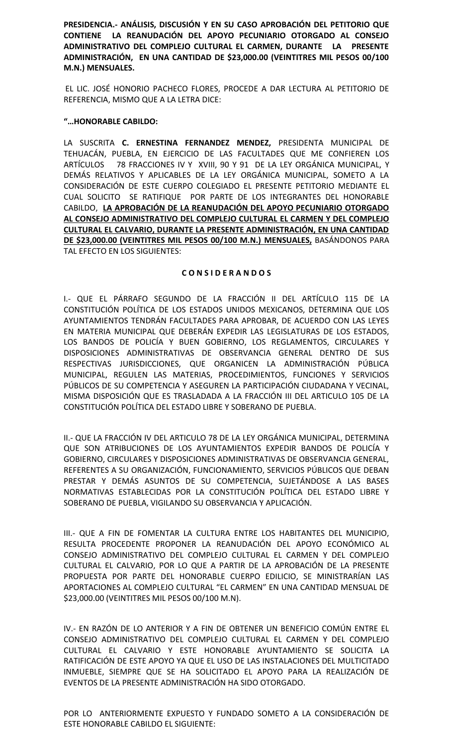**PRESIDENCIA.- ANÁLISIS, DISCUSIÓN Y EN SU CASO APROBACIÓN DEL PETITORIO QUE CONTIENE LA REANUDACIÓN DEL APOYO PECUNIARIO OTORGADO AL CONSEJO ADMINISTRATIVO DEL COMPLEJO CULTURAL EL CARMEN, DURANTE LA PRESENTE ADMINISTRACIÓN, EN UNA CANTIDAD DE \$23,000.00 (VEINTITRES MIL PESOS 00/100 M.N.) MENSUALES.**

EL LIC. JOSÉ HONORIO PACHECO FLORES, PROCEDE A DAR LECTURA AL PETITORIO DE REFERENCIA, MISMO QUE A LA LETRA DICE:

## **"…HONORABLE CABILDO:**

LA SUSCRITA **C. ERNESTINA FERNANDEZ MENDEZ,** PRESIDENTA MUNICIPAL DE TEHUACÁN, PUEBLA, EN EJERCICIO DE LAS FACULTADES QUE ME CONFIEREN LOS ARTÍCULOS 78 FRACCIONES IV Y XVIII, 90 Y 91 DE LA LEY ORGÁNICA MUNICIPAL, Y DEMÁS RELATIVOS Y APLICABLES DE LA LEY ORGÁNICA MUNICIPAL, SOMETO A LA CONSIDERACIÓN DE ESTE CUERPO COLEGIADO EL PRESENTE PETITORIO MEDIANTE EL CUAL SOLICITO SE RATIFIQUE POR PARTE DE LOS INTEGRANTES DEL HONORABLE CABILDO, **LA APROBACIÓN DE LA REANUDACIÓN DEL APOYO PECUNIARIO OTORGADO AL CONSEJO ADMINISTRATIVO DEL COMPLEJO CULTURAL EL CARMEN Y DEL COMPLEJO CULTURAL EL CALVARIO, DURANTE LA PRESENTE ADMINISTRACIÓN, EN UNA CANTIDAD DE \$23,000.00 (VEINTITRES MIL PESOS 00/100 M.N.) MENSUALES,** BASÁNDONOS PARA TAL EFECTO EN LOS SIGUIENTES:

#### **C O N S I D E R A N D O S**

I.- QUE EL PÁRRAFO SEGUNDO DE LA FRACCIÓN II DEL ARTÍCULO 115 DE LA CONSTITUCIÓN POLÍTICA DE LOS ESTADOS UNIDOS MEXICANOS, DETERMINA QUE LOS AYUNTAMIENTOS TENDRÁN FACULTADES PARA APROBAR, DE ACUERDO CON LAS LEYES EN MATERIA MUNICIPAL QUE DEBERÁN EXPEDIR LAS LEGISLATURAS DE LOS ESTADOS, LOS BANDOS DE POLICÍA Y BUEN GOBIERNO, LOS REGLAMENTOS, CIRCULARES Y DISPOSICIONES ADMINISTRATIVAS DE OBSERVANCIA GENERAL DENTRO DE SUS RESPECTIVAS JURISDICCIONES, QUE ORGANICEN LA ADMINISTRACIÓN PÚBLICA MUNICIPAL, REGULEN LAS MATERIAS, PROCEDIMIENTOS, FUNCIONES Y SERVICIOS PÚBLICOS DE SU COMPETENCIA Y ASEGUREN LA PARTICIPACIÓN CIUDADANA Y VECINAL, MISMA DISPOSICIÓN QUE ES TRASLADADA A LA FRACCIÓN III DEL ARTICULO 105 DE LA CONSTITUCIÓN POLÍTICA DEL ESTADO LIBRE Y SOBERANO DE PUEBLA.

II.- QUE LA FRACCIÓN IV DEL ARTICULO 78 DE LA LEY ORGÁNICA MUNICIPAL, DETERMINA QUE SON ATRIBUCIONES DE LOS AYUNTAMIENTOS EXPEDIR BANDOS DE POLICÍA Y GOBIERNO, CIRCULARES Y DISPOSICIONES ADMINISTRATIVAS DE OBSERVANCIA GENERAL, REFERENTES A SU ORGANIZACIÓN, FUNCIONAMIENTO, SERVICIOS PÚBLICOS QUE DEBAN PRESTAR Y DEMÁS ASUNTOS DE SU COMPETENCIA, SUJETÁNDOSE A LAS BASES NORMATIVAS ESTABLECIDAS POR LA CONSTITUCIÓN POLÍTICA DEL ESTADO LIBRE Y SOBERANO DE PUEBLA, VIGILANDO SU OBSERVANCIA Y APLICACIÓN.

III.- QUE A FIN DE FOMENTAR LA CULTURA ENTRE LOS HABITANTES DEL MUNICIPIO, RESULTA PROCEDENTE PROPONER LA REANUDACIÓN DEL APOYO ECONÓMICO AL CONSEJO ADMINISTRATIVO DEL COMPLEJO CULTURAL EL CARMEN Y DEL COMPLEJO CULTURAL EL CALVARIO, POR LO QUE A PARTIR DE LA APROBACIÓN DE LA PRESENTE PROPUESTA POR PARTE DEL HONORABLE CUERPO EDILICIO, SE MINISTRARÍAN LAS APORTACIONES AL COMPLEJO CULTURAL "EL CARMEN" EN UNA CANTIDAD MENSUAL DE \$23,000.00 (VEINTITRES MIL PESOS 00/100 M.N).

IV.- EN RAZÓN DE LO ANTERIOR Y A FIN DE OBTENER UN BENEFICIO COMÚN ENTRE EL CONSEJO ADMINISTRATIVO DEL COMPLEJO CULTURAL EL CARMEN Y DEL COMPLEJO CULTURAL EL CALVARIO Y ESTE HONORABLE AYUNTAMIENTO SE SOLICITA LA RATIFICACIÓN DE ESTE APOYO YA QUE EL USO DE LAS INSTALACIONES DEL MULTICITADO INMUEBLE, SIEMPRE QUE SE HA SOLICITADO EL APOYO PARA LA REALIZACIÓN DE EVENTOS DE LA PRESENTE ADMINISTRACIÓN HA SIDO OTORGADO.

POR LO ANTERIORMENTE EXPUESTO Y FUNDADO SOMETO A LA CONSIDERACIÓN DE ESTE HONORABLE CABILDO EL SIGUIENTE: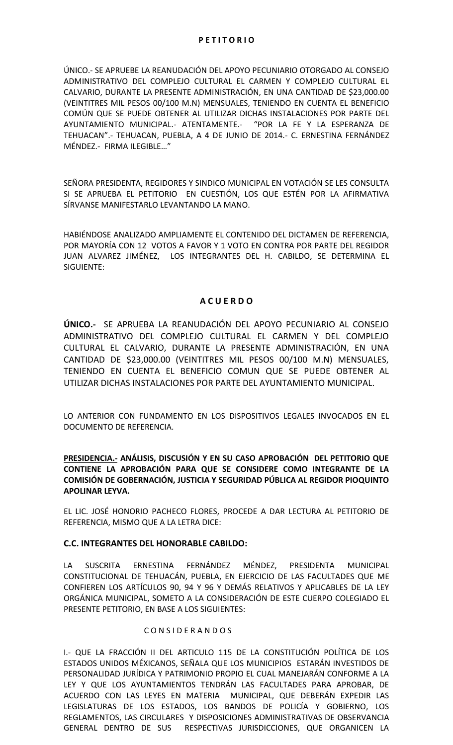## **P E T I T O R I O**

ÚNICO.- SE APRUEBE LA REANUDACIÓN DEL APOYO PECUNIARIO OTORGADO AL CONSEJO ADMINISTRATIVO DEL COMPLEJO CULTURAL EL CARMEN Y COMPLEJO CULTURAL EL CALVARIO, DURANTE LA PRESENTE ADMINISTRACIÓN, EN UNA CANTIDAD DE \$23,000.00 (VEINTITRES MIL PESOS 00/100 M.N) MENSUALES, TENIENDO EN CUENTA EL BENEFICIO COMÚN QUE SE PUEDE OBTENER AL UTILIZAR DICHAS INSTALACIONES POR PARTE DEL AYUNTAMIENTO MUNICIPAL.- ATENTAMENTE.- "POR LA FE Y LA ESPERANZA DE TEHUACAN".- TEHUACAN, PUEBLA, A 4 DE JUNIO DE 2014.- C. ERNESTINA FERNÁNDEZ MÉNDEZ.- FIRMA ILEGIBLE…"

SEÑORA PRESIDENTA, REGIDORES Y SINDICO MUNICIPAL EN VOTACIÓN SE LES CONSULTA SI SE APRUEBA EL PETITORIO EN CUESTIÓN, LOS QUE ESTÉN POR LA AFIRMATIVA SÍRVANSE MANIFESTARLO LEVANTANDO LA MANO.

HABIÉNDOSE ANALIZADO AMPLIAMENTE EL CONTENIDO DEL DICTAMEN DE REFERENCIA, POR MAYORÍA CON 12 VOTOS A FAVOR Y 1 VOTO EN CONTRA POR PARTE DEL REGIDOR JUAN ALVAREZ JIMÉNEZ, LOS INTEGRANTES DEL H. CABILDO, SE DETERMINA EL SIGUIENTE:

# **A C U E R D O**

**ÚNICO.-** SE APRUEBA LA REANUDACIÓN DEL APOYO PECUNIARIO AL CONSEJO ADMINISTRATIVO DEL COMPLEJO CULTURAL EL CARMEN Y DEL COMPLEJO CULTURAL EL CALVARIO, DURANTE LA PRESENTE ADMINISTRACIÓN, EN UNA CANTIDAD DE \$23,000.00 (VEINTITRES MIL PESOS 00/100 M.N) MENSUALES, TENIENDO EN CUENTA EL BENEFICIO COMUN QUE SE PUEDE OBTENER AL UTILIZAR DICHAS INSTALACIONES POR PARTE DEL AYUNTAMIENTO MUNICIPAL.

LO ANTERIOR CON FUNDAMENTO EN LOS DISPOSITIVOS LEGALES INVOCADOS EN EL DOCUMENTO DE REFERENCIA.

## **PRESIDENCIA.- ANÁLISIS, DISCUSIÓN Y EN SU CASO APROBACIÓN DEL PETITORIO QUE CONTIENE LA APROBACIÓN PARA QUE SE CONSIDERE COMO INTEGRANTE DE LA COMISIÓN DE GOBERNACIÓN, JUSTICIA Y SEGURIDAD PÚBLICA AL REGIDOR PIOQUINTO APOLINAR LEYVA.**

EL LIC. JOSÉ HONORIO PACHECO FLORES, PROCEDE A DAR LECTURA AL PETITORIO DE REFERENCIA, MISMO QUE A LA LETRA DICE:

## **C.C. INTEGRANTES DEL HONORABLE CABILDO:**

LA SUSCRITA ERNESTINA FERNÁNDEZ MÉNDEZ, PRESIDENTA MUNICIPAL CONSTITUCIONAL DE TEHUACÁN, PUEBLA, EN EJERCICIO DE LAS FACULTADES QUE ME CONFIEREN LOS ARTÍCULOS 90, 94 Y 96 Y DEMÁS RELATIVOS Y APLICABLES DE LA LEY ORGÁNICA MUNICIPAL, SOMETO A LA CONSIDERACIÓN DE ESTE CUERPO COLEGIADO EL PRESENTE PETITORIO, EN BASE A LOS SIGUIENTES:

## C O N S I D E R A N D O S

I.- QUE LA FRACCIÓN II DEL ARTICULO 115 DE LA CONSTITUCIÓN POLÍTICA DE LOS ESTADOS UNIDOS MÉXICANOS, SEÑALA QUE LOS MUNICIPIOS ESTARÁN INVESTIDOS DE PERSONALIDAD JURÍDICA Y PATRIMONIO PROPIO EL CUAL MANEJARÁN CONFORME A LA LEY Y QUE LOS AYUNTAMIENTOS TENDRÁN LAS FACULTADES PARA APROBAR, DE ACUERDO CON LAS LEYES EN MATERIA MUNICIPAL, QUE DEBERÁN EXPEDIR LAS LEGISLATURAS DE LOS ESTADOS, LOS BANDOS DE POLICÍA Y GOBIERNO, LOS REGLAMENTOS, LAS CIRCULARES Y DISPOSICIONES ADMINISTRATIVAS DE OBSERVANCIA GENERAL DENTRO DE SUS RESPECTIVAS JURISDICCIONES, QUE ORGANICEN LA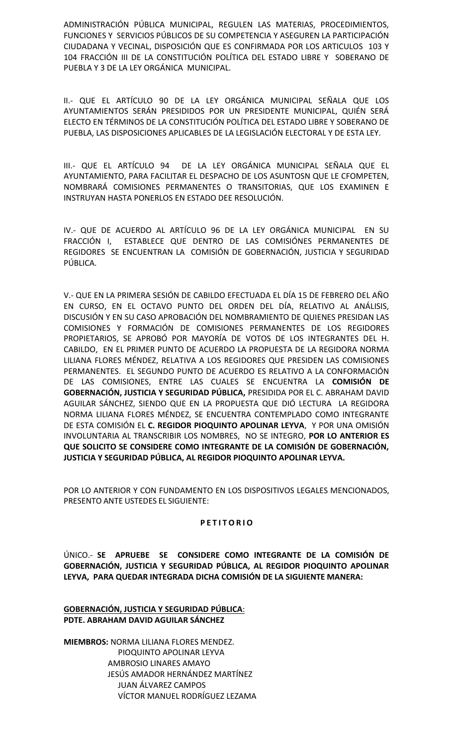ADMINISTRACIÓN PÚBLICA MUNICIPAL, REGULEN LAS MATERIAS, PROCEDIMIENTOS, FUNCIONES Y SERVICIOS PÚBLICOS DE SU COMPETENCIA Y ASEGUREN LA PARTICIPACIÓN CIUDADANA Y VECINAL, DISPOSICIÓN QUE ES CONFIRMADA POR LOS ARTICULOS 103 Y 104 FRACCIÓN III DE LA CONSTITUCIÓN POLÍTICA DEL ESTADO LIBRE Y SOBERANO DE PUEBLA Y 3 DE LA LEY ORGÁNICA MUNICIPAL.

II.- QUE EL ARTÍCULO 90 DE LA LEY ORGÁNICA MUNICIPAL SEÑALA QUE LOS AYUNTAMIENTOS SERÁN PRESIDIDOS POR UN PRESIDENTE MUNICIPAL, QUIÉN SERÁ ELECTO EN TÉRMINOS DE LA CONSTITUCIÓN POLÍTICA DEL ESTADO LIBRE Y SOBERANO DE PUEBLA, LAS DISPOSICIONES APLICABLES DE LA LEGISLACIÓN ELECTORAL Y DE ESTA LEY.

III.- QUE EL ARTÍCULO 94 DE LA LEY ORGÁNICA MUNICIPAL SEÑALA QUE EL AYUNTAMIENTO, PARA FACILITAR EL DESPACHO DE LOS ASUNTOSN QUE LE CFOMPETEN, NOMBRARÁ COMISIONES PERMANENTES O TRANSITORIAS, QUE LOS EXAMINEN E INSTRUYAN HASTA PONERLOS EN ESTADO DEE RESOLUCIÓN.

IV.- QUE DE ACUERDO AL ARTÍCULO 96 DE LA LEY ORGÁNICA MUNICIPAL EN SU FRACCIÓN I, ESTABLECE QUE DENTRO DE LAS COMISIÓNES PERMANENTES DE REGIDORES SE ENCUENTRAN LA COMISIÓN DE GOBERNACIÓN, JUSTICIA Y SEGURIDAD PÚBLICA.

V.- QUE EN LA PRIMERA SESIÓN DE CABILDO EFECTUADA EL DÍA 15 DE FEBRERO DEL AÑO EN CURSO, EN EL OCTAVO PUNTO DEL ORDEN DEL DÍA, RELATIVO AL ANÁLISIS, DISCUSIÓN Y EN SU CASO APROBACIÓN DEL NOMBRAMIENTO DE QUIENES PRESIDAN LAS COMISIONES Y FORMACIÓN DE COMISIONES PERMANENTES DE LOS REGIDORES PROPIETARIOS, SE APROBÓ POR MAYORÍA DE VOTOS DE LOS INTEGRANTES DEL H. CABILDO, EN EL PRIMER PUNTO DE ACUERDO LA PROPUESTA DE LA REGIDORA NORMA LILIANA FLORES MÉNDEZ, RELATIVA A LOS REGIDORES QUE PRESIDEN LAS COMISIONES PERMANENTES. EL SEGUNDO PUNTO DE ACUERDO ES RELATIVO A LA CONFORMACIÓN DE LAS COMISIONES, ENTRE LAS CUALES SE ENCUENTRA LA **COMISIÓN DE GOBERNACIÓN, JUSTICIA Y SEGURIDAD PÚBLICA,** PRESIDIDA POR EL C. ABRAHAM DAVID AGUILAR SÁNCHEZ, SIENDO QUE EN LA PROPUESTA QUE DIÓ LECTURA LA REGIDORA NORMA LILIANA FLORES MÉNDEZ, SE ENCUENTRA CONTEMPLADO COMO INTEGRANTE DE ESTA COMISIÓN EL **C. REGIDOR PIOQUINTO APOLINAR LEYVA**, Y POR UNA OMISIÓN INVOLUNTARIA AL TRANSCRIBIR LOS NOMBRES, NO SE INTEGRO, **POR LO ANTERIOR ES QUE SOLICITO SE CONSIDERE COMO INTEGRANTE DE LA COMISIÓN DE GOBERNACIÓN, JUSTICIA Y SEGURIDAD PÚBLICA, AL REGIDOR PIOQUINTO APOLINAR LEYVA.**

POR LO ANTERIOR Y CON FUNDAMENTO EN LOS DISPOSITIVOS LEGALES MENCIONADOS, PRESENTO ANTE USTEDES EL SIGUIENTE:

## **P E T I T O R I O**

ÚNICO.- **SE APRUEBE SE CONSIDERE COMO INTEGRANTE DE LA COMISIÓN DE GOBERNACIÓN, JUSTICIA Y SEGURIDAD PÚBLICA, AL REGIDOR PIOQUINTO APOLINAR LEYVA, PARA QUEDAR INTEGRADA DICHA COMISIÓN DE LA SIGUIENTE MANERA:**

**GOBERNACIÓN, JUSTICIA Y SEGURIDAD PÚBLICA**: **PDTE. ABRAHAM DAVID AGUILAR SÁNCHEZ**

**MIEMBROS:** NORMA LILIANA FLORES MENDEZ. PIOQUINTO APOLINAR LEYVA AMBROSIO LINARES AMAYO JESÚS AMADOR HERNÁNDEZ MARTÍNEZ JUAN ÁLVAREZ CAMPOS VÍCTOR MANUEL RODRÍGUEZ LEZAMA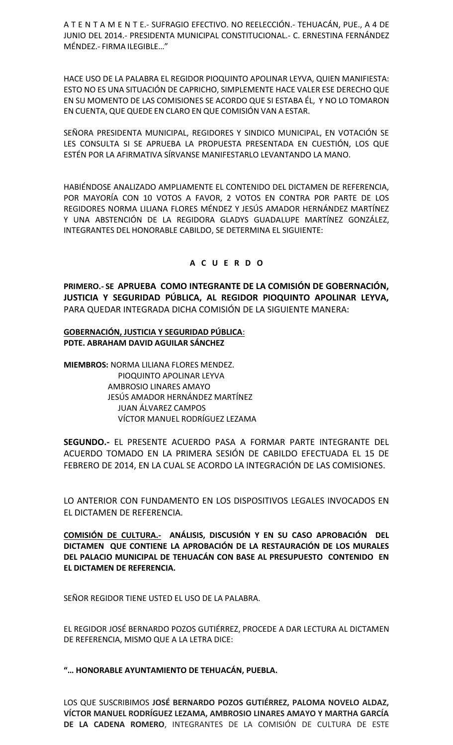A T E N T A M E N T E.-SUFRAGIO EFECTIVO. NO REELECCIÓN.- TEHUACÁN, PUE., A 4 DE JUNIO DEL2014.- PRESIDENTA MUNICIPAL CONSTITUCIONAL.- C. ERNESTINA FERNÁNDEZ MÉNDEZ.- FIRMA ILEGIBLE…"

HACE USO DE LA PALABRA EL REGIDOR PIOQUINTO APOLINAR LEYVA, QUIEN MANIFIESTA: ESTO NO ES UNA SITUACIÓN DE CAPRICHO, SIMPLEMENTE HACE VALER ESE DERECHO QUE EN SU MOMENTO DELAS COMISIONES SE ACORDO QUE SI ESTABA ÉL, Y NO LO TOMARON EN CUENTA, QUE QUEDE EN CLARO EN QUE COMISIÓN VAN A ESTAR.

SEÑORA PRESIDENTA MUNICIPAL, REGIDORES Y SINDICO MUNICIPAL, EN VOTACIÓN SE LES CONSULTA SI SE APRUEBA LA PROPUESTA PRESENTADA EN CUESTIÓN, LOS QUE ESTÉN POR LA AFIRMATIVA SÍRVANSE MANIFESTARLO LEVANTANDO LA MANO.

HABIÉNDOSE ANALIZADO AMPLIAMENTE EL CONTENIDO DEL DICTAMEN DE REFERENCIA, POR MAYORÍA CON 10 VOTOS A FAVOR, 2 VOTOS EN CONTRA POR PARTE DE LOS REGIDORES NORMA LILIANA FLORES MÉNDEZ Y JESÚS AMADOR HERNÁNDEZ MARTÍNEZ Y UNA ABSTENCIÓN DE LA REGIDORA GLADYS GUADALUPE MARTÍNEZ GONZÁLEZ, INTEGRANTES DEL HONORABLE CABILDO, SE DETERMINA EL SIGUIENTE:

## **A C U E R D O**

**PRIMERO.- SE APRUEBA COMO INTEGRANTE DE LA COMISIÓN DE GOBERNACIÓN, JUSTICIA Y SEGURIDAD PÚBLICA, AL REGIDOR PIOQUINTO APOLINAR LEYVA,** PARA QUEDAR INTEGRADA DICHA COMISIÓN DE LA SIGUIENTE MANERA:

### **GOBERNACIÓN, JUSTICIA Y SEGURIDAD PÚBLICA**: **PDTE. ABRAHAM DAVID AGUILAR SÁNCHEZ**

**MIEMBROS:** NORMA LILIANA FLORES MENDEZ. PIOQUINTO APOLINAR LEYVA AMBROSIO LINARES AMAYO JESÚS AMADOR HERNÁNDEZ MARTÍNEZ JUAN ÁLVAREZ CAMPOS VÍCTOR MANUEL RODRÍGUEZ LEZAMA

**SEGUNDO.-** EL PRESENTE ACUERDO PASA A FORMAR PARTE INTEGRANTE DEL ACUERDO TOMADO EN LA PRIMERA SESIÓN DE CABILDO EFECTUADA EL 15 DE FEBRERO DE 2014, EN LA CUAL SE ACORDO LA INTEGRACIÓN DE LAS COMISIONES.

LO ANTERIOR CON FUNDAMENTO EN LOS DISPOSITIVOS LEGALES INVOCADOS EN EL DICTAMEN DE REFERENCIA.

**COMISIÓN DE CULTURA.- ANÁLISIS, DISCUSIÓN Y EN SU CASO APROBACIÓN DEL DICTAMEN QUE CONTIENE LA APROBACIÓN DE LA RESTAURACIÓN DE LOS MURALES DEL PALACIO MUNICIPAL DE TEHUACÁN CON BASE AL PRESUPUESTO CONTENIDO EN EL DICTAMEN DE REFERENCIA.**

SEÑOR REGIDOR TIENE USTED EL USO DE LA PALABRA.

EL REGIDOR JOSÉ BERNARDO POZOS GUTIÉRREZ, PROCEDE A DAR LECTURA AL DICTAMEN DE REFERENCIA, MISMO QUE A LA LETRA DICE:

**"… HONORABLE AYUNTAMIENTO DE TEHUACÁN, PUEBLA.**

LOS QUE SUSCRIBIMOS **JOSÉ BERNARDO POZOS GUTIÉRREZ, PALOMA NOVELO ALDAZ, VÍCTOR MANUEL RODRÍGUEZ LEZAMA, AMBROSIO LINARES AMAYO Y MARTHA GARCÍA DE LA CADENA ROMERO**, INTEGRANTES DE LA COMISIÓN DE CULTURA DE ESTE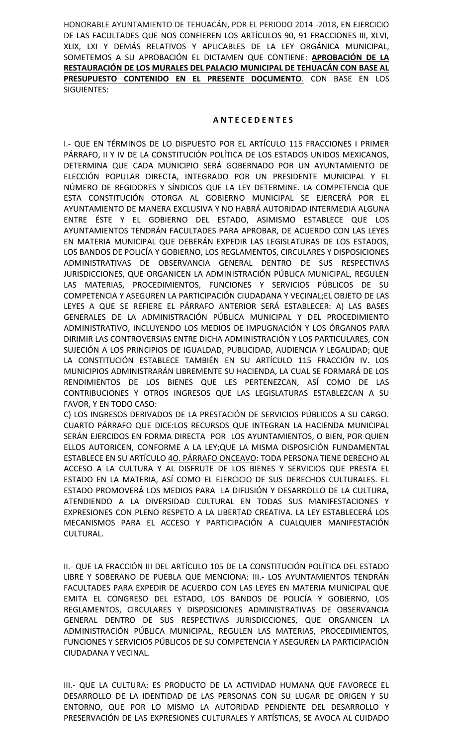HONORABLE AYUNTAMIENTO DE TEHUACÁN, POR EL PERIODO 2014 -2018, EN EJERCICIO DE LAS FACULTADES QUE NOS CONFIEREN LOS ARTÍCULOS 90, 91 FRACCIONES III, XLVI, XLIX, LXI Y DEMÁS RELATIVOS Y APLICABLES DE LA LEY ORGÁNICA MUNICIPAL, SOMETEMOS A SU APROBACIÓN EL DICTAMEN QUE CONTIENE: **APROBACIÓN DE LA RESTAURACIÓN DE LOS MURALES DEL PALACIO MUNICIPAL DE TEHUACÁN CON BASE AL PRESUPUESTO CONTENIDO EN EL PRESENTE DOCUMENTO**. CON BASE EN LOS SIGUIENTES:

### **A N T E C E D E N T E S**

I.- QUE EN TÉRMINOS DE LO DISPUESTO POR EL ARTÍCULO 115 FRACCIONES I PRIMER PÁRRAFO, II Y IV DE LA CONSTITUCIÓN POLÍTICA DE LOS ESTADOS UNIDOS MEXICANOS, DETERMINA QUE CADA MUNICIPIO SERÁ GOBERNADO POR UN AYUNTAMIENTO DE ELECCIÓN POPULAR DIRECTA, INTEGRADO POR UN PRESIDENTE MUNICIPAL Y EL NÚMERO DE REGIDORES Y SÍNDICOS QUE LA LEY DETERMINE. LA COMPETENCIA QUE ESTA CONSTITUCIÓN OTORGA AL GOBIERNO MUNICIPAL SE EJERCERÁ POR EL AYUNTAMIENTO DE MANERA EXCLUSIVA Y NO HABRÁ AUTORIDAD INTERMEDIA ALGUNA ENTRE ÉSTE Y EL GOBIERNO DEL ESTADO, ASIMISMO ESTABLECE QUE LOS AYUNTAMIENTOS TENDRÁN FACULTADES PARA APROBAR, DE ACUERDO CON LAS LEYES EN MATERIA MUNICIPAL QUE DEBERÁN EXPEDIR LAS LEGISLATURAS DE LOS ESTADOS, LOS BANDOS DE POLICÍA Y GOBIERNO, LOS REGLAMENTOS, CIRCULARES Y DISPOSICIONES ADMINISTRATIVAS DE OBSERVANCIA GENERAL DENTRO DE SUS RESPECTIVAS JURISDICCIONES, QUE ORGANICEN LA ADMINISTRACIÓN PÚBLICA MUNICIPAL, REGULEN LAS MATERIAS, PROCEDIMIENTOS, FUNCIONES Y SERVICIOS PÚBLICOS DE SU COMPETENCIA Y ASEGUREN LA PARTICIPACIÓN CIUDADANA Y VECINAL;EL OBJETO DE LAS LEYES A QUE SE REFIERE EL PÁRRAFO ANTERIOR SERÁ ESTABLECER: A) LAS BASES GENERALES DE LA ADMINISTRACIÓN PÚBLICA MUNICIPAL Y DEL PROCEDIMIENTO ADMINISTRATIVO, INCLUYENDO LOS MEDIOS DE IMPUGNACIÓN Y LOS ÓRGANOS PARA DIRIMIR LAS CONTROVERSIAS ENTRE DICHA ADMINISTRACIÓN Y LOS PARTICULARES, CON SUJECIÓN A LOS PRINCIPIOS DE IGUALDAD, PUBLICIDAD, AUDIENCIA Y LEGALIDAD; QUE LA CONSTITUCIÓN ESTABLECE TAMBIÉN EN SU ARTÍCULO 115 FRACCIÓN IV. LOS MUNICIPIOS ADMINISTRARÁN LIBREMENTE SU HACIENDA, LA CUAL SE FORMARÁ DE LOS RENDIMIENTOS DE LOS BIENES QUE LES PERTENEZCAN, ASÍ COMO DE LAS CONTRIBUCIONES Y OTROS INGRESOS QUE LAS LEGISLATURAS ESTABLEZCAN A SU FAVOR, Y EN TODO CASO:

C) LOS INGRESOS DERIVADOS DE LA PRESTACIÓN DE SERVICIOS PÚBLICOS A SU CARGO. CUARTO PÁRRAFO QUE DICE:LOS RECURSOS QUE INTEGRAN LA HACIENDA MUNICIPAL SERÁN EJERCIDOS EN FORMA DIRECTA POR LOS AYUNTAMIENTOS, O BIEN, POR QUIEN ELLOS AUTORICEN, CONFORME A LA LEY;QUE LA MISMA DISPOSICIÓN FUNDAMENTAL ESTABLECE EN SU ARTÍCULO 4O. PÁRRAFO ONCEAVO: TODA PERSONA TIENE DERECHO AL ACCESO A LA CULTURA Y AL DISFRUTE DE LOS BIENES Y SERVICIOS QUE PRESTA EL ESTADO EN LA MATERIA, ASÍ COMO EL EJERCICIO DE SUS DERECHOS CULTURALES. EL ESTADO PROMOVERÁ LOS MEDIOS PARA LA DIFUSIÓN Y DESARROLLO DE LA CULTURA, ATENDIENDO A LA DIVERSIDAD CULTURAL EN TODAS SUS MANIFESTACIONES Y EXPRESIONES CON PLENO RESPETO A LA LIBERTAD CREATIVA. LA LEY ESTABLECERÁ LOS MECANISMOS PARA EL ACCESO Y PARTICIPACIÓN A CUALQUIER MANIFESTACIÓN CULTURAL.

II.- QUE LA FRACCIÓN III DEL ARTÍCULO 105 DE LA CONSTITUCIÓN POLÍTICA DEL ESTADO LIBRE Y SOBERANO DE PUEBLA QUE MENCIONA: III.- LOS AYUNTAMIENTOS TENDRÁN FACULTADES PARA EXPEDIR DE ACUERDO CON LAS LEYES EN MATERIA MUNICIPAL QUE EMITA EL CONGRESO DEL ESTADO, LOS BANDOS DE POLICÍA Y GOBIERNO, LOS REGLAMENTOS, CIRCULARES Y DISPOSICIONES ADMINISTRATIVAS DE OBSERVANCIA GENERAL DENTRO DE SUS RESPECTIVAS JURISDICCIONES, QUE ORGANICEN LA ADMINISTRACIÓN PÚBLICA MUNICIPAL, REGULEN LAS MATERIAS, PROCEDIMIENTOS, FUNCIONES Y SERVICIOS PÚBLICOS DE SU COMPETENCIA Y ASEGUREN LA PARTICIPACIÓN CIUDADANA Y VECINAL.

III.- QUE LA CULTURA: ES PRODUCTO DE LA ACTIVIDAD HUMANA QUE FAVORECE EL DESARROLLO DE LA IDENTIDAD DE LAS PERSONAS CON SU LUGAR DE ORIGEN Y SU ENTORNO, QUE POR LO MISMO LA AUTORIDAD PENDIENTE DEL DESARROLLO Y PRESERVACIÓN DE LAS EXPRESIONES CULTURALES Y ARTÍSTICAS, SE AVOCA AL CUIDADO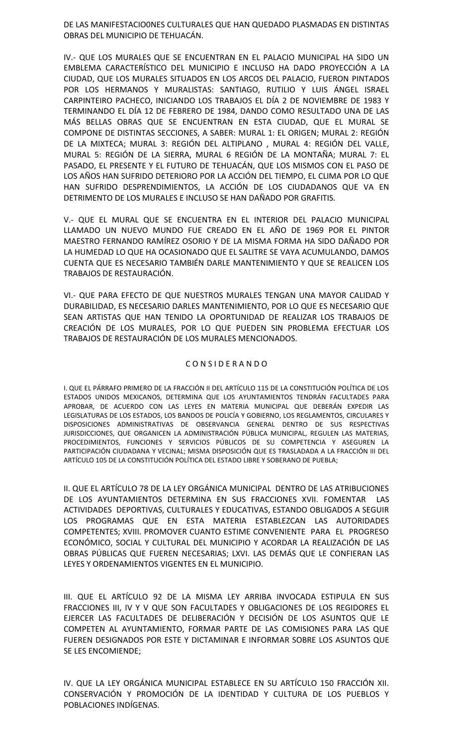DE LAS MANIFESTACIO0NES CULTURALES QUE HAN QUEDADO PLASMADAS EN DISTINTAS OBRAS DEL MUNICIPIO DE TEHUACÁN.

IV.- QUE LOS MURALES QUE SE ENCUENTRAN EN EL PALACIO MUNICIPAL HA SIDO UN EMBLEMA CARACTERÍSTICO DEL MUNICIPIO E INCLUSO HA DADO PROYECCIÓN A LA CIUDAD, QUE LOS MURALES SITUADOS EN LOS ARCOS DEL PALACIO, FUERON PINTADOS POR LOS HERMANOS Y MURALISTAS: SANTIAGO, RUTILIO Y LUIS ÁNGEL ISRAEL CARPINTEIRO PACHECO, INICIANDO LOS TRABAJOS EL DÍA 2 DE NOVIEMBRE DE 1983 Y TERMINANDO EL DÍA 12 DE FEBRERO DE 1984, DANDO COMO RESULTADO UNA DE LAS MÁS BELLAS OBRAS QUE SE ENCUENTRAN EN ESTA CIUDAD, QUE EL MURAL SE COMPONE DE DISTINTAS SECCIONES, A SABER: MURAL 1: EL ORIGEN; MURAL 2: REGIÓN DE LA MIXTECA; MURAL 3: REGIÓN DEL ALTIPLANO , MURAL 4: REGIÓN DEL VALLE, MURAL 5: REGIÓN DE LA SIERRA, MURAL 6 REGIÓN DE LA MONTAÑA; MURAL 7: EL PASADO, EL PRESENTE Y EL FUTURO DE TEHUACÁN, QUE LOS MISMOS CON EL PASO DE LOS AÑOS HAN SUFRIDO DETERIORO POR LA ACCIÓN DEL TIEMPO, EL CLIMA POR LO QUE HAN SUFRIDO DESPRENDIMIENTOS, LA ACCIÓN DE LOS CIUDADANOS QUE VA EN DETRIMENTO DE LOS MURALES E INCLUSO SE HAN DAÑADO POR GRAFITIS.

V.- QUE EL MURAL QUE SE ENCUENTRA EN EL INTERIOR DEL PALACIO MUNICIPAL LLAMADO UN NUEVO MUNDO FUE CREADO EN EL AÑO DE 1969 POR EL PINTOR MAESTRO FERNANDO RAMÍREZ OSORIO Y DE LA MISMA FORMA HA SIDO DAÑADO POR LA HUMEDAD LO QUE HA OCASIONADO QUE EL SALITRE SE VAYA ACUMULANDO, DAMOS CUENTA QUE ES NECESARIO TAMBIÉN DARLE MANTENIMIENTO Y QUE SE REALICEN LOS TRABAJOS DE RESTAURACIÓN.

VI.- QUE PARA EFECTO DE QUE NUESTROS MURALES TENGAN UNA MAYOR CALIDAD Y DURABILIDAD, ES NECESARIO DARLES MANTENIMIENTO, POR LO QUE ES NECESARIO QUE SEAN ARTISTAS QUE HAN TENIDO LA OPORTUNIDAD DE REALIZAR LOS TRABAJOS DE CREACIÓN DE LOS MURALES, POR LO QUE PUEDEN SIN PROBLEMA EFECTUAR LOS TRABAJOS DE RESTAURACIÓN DE LOS MURALES MENCIONADOS.

#### C O N S I D E R A N D O

I. QUE EL PÁRRAFO PRIMERO DE LA FRACCIÓN II DEL ARTÍCULO 115 DE LA CONSTITUCIÓN POLÍTICA DE LOS ESTADOS UNIDOS MEXICANOS, DETERMINA QUE LOS AYUNTAMIENTOS TENDRÁN FACULTADES PARA APROBAR, DE ACUERDO CON LAS LEYES EN MATERIA MUNICIPAL QUE DEBERÁN EXPEDIR LAS LEGISLATURAS DE LOS ESTADOS, LOS BANDOS DE POLICÍA Y GOBIERNO, LOS REGLAMENTOS, CIRCULARES Y DISPOSICIONES ADMINISTRATIVAS DE OBSERVANCIA GENERAL DENTRO DE SUS RESPECTIVAS JURISDICCIONES, QUE ORGANICEN LA ADMINISTRACIÓN PÚBLICA MUNICIPAL, REGULEN LAS MATERIAS, PROCEDIMIENTOS, FUNCIONES Y SERVICIOS PÚBLICOS DE SU COMPETENCIA Y ASEGUREN LA PARTICIPACIÓN CIUDADANA Y VECINAL; MISMA DISPOSICIÓN QUE ES TRASLADADA A LA FRACCIÓN III DEL ARTÍCULO 105 DE LA CONSTITUCIÓN POLÍTICA DEL ESTADO LIBRE Y SOBERANO DE PUEBLA;

II. QUE EL ARTÍCULO 78 DE LA LEY ORGÁNICA MUNICIPAL DENTRO DE LAS ATRIBUCIONES DE LOS AYUNTAMIENTOS DETERMINA EN SUS FRACCIONES XVII. FOMENTAR LAS ACTIVIDADES DEPORTIVAS, CULTURALES Y EDUCATIVAS, ESTANDO OBLIGADOS A SEGUIR LOS PROGRAMAS QUE EN ESTA MATERIA ESTABLEZCAN LAS AUTORIDADES COMPETENTES; XVIII. PROMOVER CUANTO ESTIME CONVENIENTE PARA EL PROGRESO ECONÓMICO, SOCIAL Y CULTURAL DEL MUNICIPIO Y ACORDAR LA REALIZACIÓN DE LAS OBRAS PÚBLICAS QUE FUEREN NECESARIAS; LXVI. LAS DEMÁS QUE LE CONFIERAN LAS LEYES Y ORDENAMIENTOS VIGENTES EN EL MUNICIPIO.

III. QUE EL ARTÍCULO 92 DE LA MISMA LEY ARRIBA INVOCADA ESTIPULA EN SUS FRACCIONES III, IV Y V QUE SON FACULTADES Y OBLIGACIONES DE LOS REGIDORES EL EJERCER LAS FACULTADES DE DELIBERACIÓN Y DECISIÓN DE LOS ASUNTOS QUE LE COMPETEN AL AYUNTAMIENTO, FORMAR PARTE DE LAS COMISIONES PARA LAS QUE FUEREN DESIGNADOS POR ESTE Y DICTAMINAR E INFORMAR SOBRE LOS ASUNTOS QUE SE LES ENCOMIENDE;

IV. QUE LA LEY ORGÁNICA MUNICIPAL ESTABLECE EN SU ARTÍCULO 150 FRACCIÓN XII. CONSERVACIÓN Y PROMOCIÓN DE LA IDENTIDAD Y CULTURA DE LOS PUEBLOS Y POBLACIONES INDÍGENAS.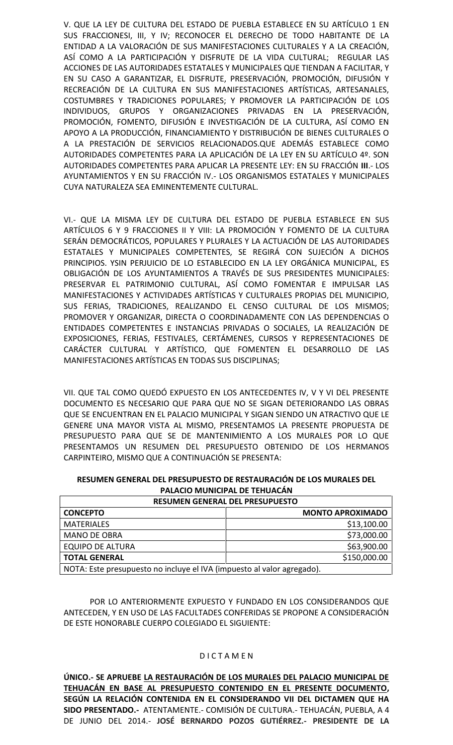V. QUE LA LEY DE CULTURA DEL ESTADO DE PUEBLA ESTABLECE EN SU ARTÍCULO 1 EN SUS FRACCIONESI, III, Y IV; RECONOCER EL DERECHO DE TODO HABITANTE DE LA ENTIDAD A LA VALORACIÓN DE SUS MANIFESTACIONES CULTURALES Y A LA CREACIÓN, ASÍ COMO A LA PARTICIPACIÓN Y DISFRUTE DE LA VIDA CULTURAL; REGULAR LAS ACCIONES DE LAS AUTORIDADES ESTATALES Y MUNICIPALES QUE TIENDAN A FACILITAR, Y EN SU CASO A GARANTIZAR, EL DISFRUTE, PRESERVACIÓN, PROMOCIÓN, DIFUSIÓN Y RECREACIÓN DE LA CULTURA EN SUS MANIFESTACIONES ARTÍSTICAS, ARTESANALES, COSTUMBRES Y TRADICIONES POPULARES; Y PROMOVER LA PARTICIPACIÓN DE LOS INDIVIDUOS, GRUPOS Y ORGANIZACIONES PRIVADAS EN LA PRESERVACIÓN, PROMOCIÓN, FOMENTO, DIFUSIÓN E INVESTIGACIÓN DE LA CULTURA, ASÍ COMO EN APOYO A LA PRODUCCIÓN, FINANCIAMIENTO Y DISTRIBUCIÓN DE BIENES CULTURALES O A LA PRESTACIÓN DE SERVICIOS RELACIONADOS.QUE ADEMÁS ESTABLECE COMO AUTORIDADES COMPETENTES PARA LA APLICACIÓN DE LA LEY EN SU ARTÍCULO 4º. SON AUTORIDADES COMPETENTES PARA APLICAR LA PRESENTE LEY: EN SU FRACCIÓN **III**.- LOS AYUNTAMIENTOS Y EN SU FRACCIÓN IV.- LOS ORGANISMOS ESTATALES Y MUNICIPALES CUYA NATURALEZA SEA EMINENTEMENTE CULTURAL.

VI.- QUE LA MISMA LEY DE CULTURA DEL ESTADO DE PUEBLA ESTABLECE EN SUS ARTÍCULOS 6 Y 9 FRACCIONES II Y VIII: LA PROMOCIÓN Y FOMENTO DE LA CULTURA SERÁN DEMOCRÁTICOS, POPULARES Y PLURALES Y LA ACTUACIÓN DE LAS AUTORIDADES ESTATALES Y MUNICIPALES COMPETENTES, SE REGIRÁ CON SUJECIÓN A DICHOS PRINCIPIOS. YSIN PERJUICIO DE LO ESTABLECIDO EN LA LEY ORGÁNICA MUNICIPAL, ES OBLIGACIÓN DE LOS AYUNTAMIENTOS A TRAVÉS DE SUS PRESIDENTES MUNICIPALES: PRESERVAR EL PATRIMONIO CULTURAL, ASÍ COMO FOMENTAR E IMPULSAR LAS MANIFESTACIONES Y ACTIVIDADES ARTÍSTICAS Y CULTURALES PROPIAS DEL MUNICIPIO, SUS FERIAS, TRADICIONES, REALIZANDO EL CENSO CULTURAL DE LOS MISMOS; PROMOVER Y ORGANIZAR, DIRECTA O COORDINADAMENTE CON LAS DEPENDENCIAS O ENTIDADES COMPETENTES E INSTANCIAS PRIVADAS O SOCIALES, LA REALIZACIÓN DE EXPOSICIONES, FERIAS, FESTIVALES, CERTÁMENES, CURSOS Y REPRESENTACIONES DE CARÁCTER CULTURAL Y ARTÍSTICO, QUE FOMENTEN EL DESARROLLO DE LAS MANIFESTACIONES ARTÍSTICAS EN TODAS SUS DISCIPLINAS;

VII. QUE TAL COMO QUEDÓ EXPUESTO EN LOS ANTECEDENTES IV, V Y VI DEL PRESENTE DOCUMENTO ES NECESARIO QUE PARA QUE NO SE SIGAN DETERIORANDO LAS OBRAS QUE SE ENCUENTRAN EN EL PALACIO MUNICIPAL Y SIGAN SIENDO UN ATRACTIVO QUE LE GENERE UNA MAYOR VISTA AL MISMO, PRESENTAMOS LA PRESENTE PROPUESTA DE PRESUPUESTO PARA QUE SE DE MANTENIMIENTO A LOS MURALES POR LO QUE PRESENTAMOS UN RESUMEN DEL PRESUPUESTO OBTENIDO DE LOS HERMANOS CARPINTEIRO, MISMO QUE A CONTINUACIÓN SE PRESENTA:

| RESUMEN GENERAL DEL PRESUPUESTO DE RESTAURACIÓN DE LOS MURALES DEL |  |
|--------------------------------------------------------------------|--|
| PALACIO MUNICIPAL DE TEHUACÁN                                      |  |

| <b>RESUMEN GENERAL DEL PRESUPUESTO</b>                                 |                         |
|------------------------------------------------------------------------|-------------------------|
| <b>CONCEPTO</b>                                                        | <b>MONTO APROXIMADO</b> |
| <b>MATERIALES</b>                                                      | \$13,100.00             |
| <b>MANO DE OBRA</b>                                                    | \$73,000.00             |
| <b>EQUIPO DE ALTURA</b>                                                | \$63,900.00             |
| <b>TOTAL GENERAL</b>                                                   | \$150,000.00            |
| NOTA: Este presupuesto no incluye el IVA (impuesto al valor agregado). |                         |

POR LO ANTERIORMENTE EXPUESTO Y FUNDADO EN LOS CONSIDERANDOS QUE ANTECEDEN, Y EN USO DE LAS FACULTADES CONFERIDAS SE PROPONE A CONSIDERACIÓN DE ESTE HONORABLE CUERPO COLEGIADO EL SIGUIENTE:

## D I C T A M E N

**ÚNICO.- SE APRUEBE LA RESTAURACIÓN DE LOS MURALES DEL PALACIO MUNICIPAL DE TEHUACÁN EN BASE AL PRESUPUESTO CONTENIDO EN EL PRESENTE DOCUMENTO, SEGÚN LA RELACIÓN CONTENIDA EN EL CONSIDERANDO VII DEL DICTAMEN QUE HA SIDO PRESENTADO.-** ATENTAMENTE.- COMISIÓN DE CULTURA.- TEHUACÁN, PUEBLA, A 4 DE JUNIO DEL 2014.- **JOSÉ BERNARDO POZOS GUTIÉRREZ.- PRESIDENTE DE LA**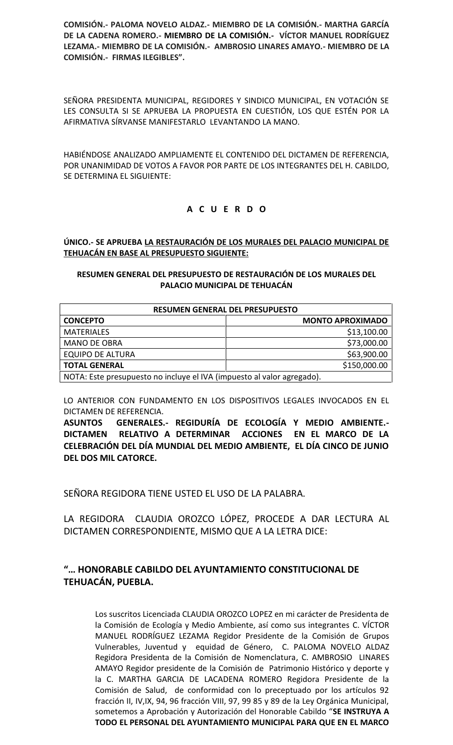**COMISIÓN.- PALOMA NOVELO ALDAZ.- MIEMBRO DE LA COMISIÓN.- MARTHA GARCÍA DE LA CADENA ROMERO.- MIEMBRO DE LA COMISIÓN.- VÍCTOR MANUEL RODRÍGUEZ LEZAMA.- MIEMBRO DE LA COMISIÓN.- AMBROSIO LINARES AMAYO.- MIEMBRO DE LA COMISIÓN.- FIRMAS ILEGIBLES".**

SEÑORA PRESIDENTA MUNICIPAL, REGIDORES Y SINDICO MUNICIPAL, EN VOTACIÓN SE LES CONSULTA SI SE APRUEBA LA PROPUESTA EN CUESTIÓN, LOS QUE ESTÉN POR LA AFIRMATIVA SÍRVANSE MANIFESTARLO LEVANTANDO LA MANO.

HABIÉNDOSE ANALIZADO AMPLIAMENTE EL CONTENIDO DEL DICTAMEN DE REFERENCIA, POR UNANIMIDAD DE VOTOS A FAVOR POR PARTE DE LOS INTEGRANTES DEL H. CABILDO, SE DETERMINA EL SIGUIENTE:

# **A C U E R D O**

**ÚNICO.- SE APRUEBA LA RESTAURACIÓN DE LOS MURALES DEL PALACIO MUNICIPAL DE TEHUACÁN EN BASE AL PRESUPUESTO SIGUIENTE:**

### **RESUMEN GENERAL DEL PRESUPUESTO DE RESTAURACIÓN DE LOS MURALES DEL PALACIO MUNICIPAL DE TEHUACÁN**

| <b>RESUMEN GENERAL DEL PRESUPUESTO</b>                                 |                         |  |
|------------------------------------------------------------------------|-------------------------|--|
| <b>CONCEPTO</b>                                                        | <b>MONTO APROXIMADO</b> |  |
| <b>MATERIALES</b>                                                      | \$13,100.00             |  |
| <b>MANO DE OBRA</b>                                                    | \$73,000.00             |  |
| <b>EQUIPO DE ALTURA</b>                                                | \$63,900.00             |  |
| <b>TOTAL GENERAL</b>                                                   | \$150,000.00            |  |
| NOTA: Este presupuesto no incluye el IVA (impuesto al valor agregado). |                         |  |

LO ANTERIOR CON FUNDAMENTO EN LOS DISPOSITIVOS LEGALES INVOCADOS EN EL DICTAMEN DE REFERENCIA.

**ASUNTOS GENERALES.- REGIDURÍA DE ECOLOGÍA Y MEDIO AMBIENTE.- DICTAMEN RELATIVO A DETERMINAR ACCIONES EN EL MARCO DE LA CELEBRACIÓN DEL DÍA MUNDIAL DEL MEDIO AMBIENTE, EL DÍA CINCO DE JUNIO DEL DOS MIL CATORCE.**

SEÑORA REGIDORA TIENE USTED EL USO DE LA PALABRA.

LA REGIDORA CLAUDIA OROZCO LÓPEZ, PROCEDE A DAR LECTURA AL DICTAMEN CORRESPONDIENTE, MISMO QUE A LA LETRA DICE:

# **"… HONORABLE CABILDO DEL AYUNTAMIENTO CONSTITUCIONAL DE TEHUACÁN, PUEBLA.**

Los suscritos Licenciada CLAUDIA OROZCO LOPEZ en mi carácter de Presidenta de la Comisión de Ecología y Medio Ambiente, así como sus integrantes C. VÍCTOR MANUEL RODRÍGUEZ LEZAMA Regidor Presidente de la Comisión de Grupos Vulnerables, Juventud y equidad de Género, C. PALOMA NOVELO ALDAZ Regidora Presidenta de la Comisión de Nomenclatura, C. AMBROSIO LINARES AMAYO Regidor presidente de la Comisión de Patrimonio Histórico y deporte y la C. MARTHA GARCIA DE LACADENA ROMERO Regidora Presidente de la Comisión de Salud, de conformidad con lo preceptuado por los artículos 92 fracción II, IV,IX, 94, 96 fracción VIII, 97, 99 85 y 89 de la Ley Orgánica Municipal, sometemos a Aprobación y Autorización del Honorable Cabildo "**SE INSTRUYA A TODO EL PERSONAL DEL AYUNTAMIENTO MUNICIPAL PARA QUE EN EL MARCO**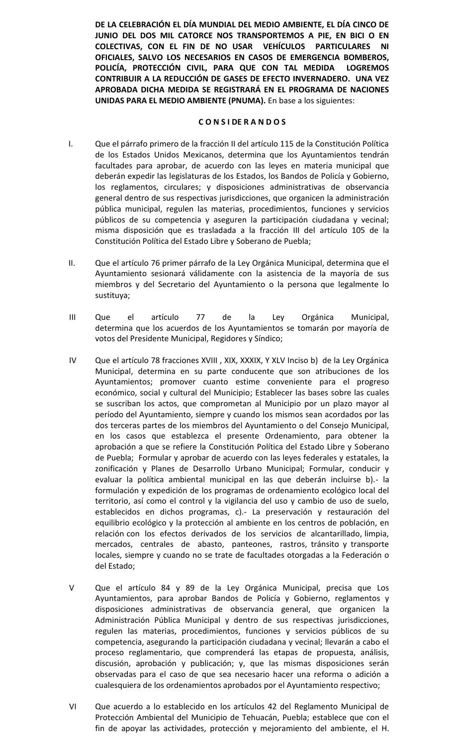**DE LA CELEBRACIÓN EL DÍA MUNDIAL DEL MEDIO AMBIENTE, EL DÍA CINCO DE JUNIO DEL DOS MIL CATORCE NOS TRANSPORTEMOS A PIE, EN BICI O EN COLECTIVAS, CON EL FIN DE NO USAR VEHÍCULOS PARTICULARES NI OFICIALES, SALVO LOS NECESARIOS EN CASOS DE EMERGENCIA BOMBEROS, POLICÍA, PROTECCIÓN CIVIL, PARA QUE CON TAL MEDIDA LOGREMOS CONTRIBUIR A LA REDUCCIÓN DE GASES DE EFECTO INVERNADERO. UNA VEZ APROBADA DICHA MEDIDA SE REGISTRARÁ EN EL PROGRAMA DE NACIONES UNIDAS PARA EL MEDIO AMBIENTE (PNUMA).** En base a los siguientes:

### **C O N S I DE R A N D O S**

- I. Que el párrafo primero de la fracción II del artículo 115 de la Constitución Política de los Estados Unidos Mexicanos, determina que los Ayuntamientos tendrán facultades para aprobar, de acuerdo con las leyes en materia municipal que deberán expedir las legislaturas de los Estados, los Bandos de Policía y Gobierno, los reglamentos, circulares; y disposiciones administrativas de observancia general dentro de sus respectivas jurisdicciones, que organicen la administración pública municipal, regulen las materias, procedimientos, funciones y servicios públicos de su competencia y aseguren la participación ciudadana y vecinal; misma disposición que es trasladada a la fracción III del artículo 105 de la Constitución Política del Estado Libre y Soberano de Puebla;
- II. Que el artículo 76 primer párrafo de la Ley Orgánica Municipal, determina que el Ayuntamiento sesionará válidamente con la asistencia de la mayoría de sus miembros y del Secretario del Ayuntamiento o la persona que legalmente lo sustituya;
- III Que el artículo 77 de la Ley Orgánica Municipal, determina que los acuerdos de los Ayuntamientos se tomarán por mayoría de votos del Presidente Municipal, Regidores y Síndico;
- IV Que el artículo 78 fracciones XVIII , XIX, XXXIX, Y XLV Inciso b) de la Ley Orgánica Municipal, determina en su parte conducente que son atribuciones de los Ayuntamientos; promover cuanto estime conveniente para el progreso económico, social y cultural del Municipio; Establecer las bases sobre las cuales se suscriban los actos, que comprometan al Municipio por un plazo mayor al período del Ayuntamiento, siempre y cuando los mismos sean acordados por las dos terceras partes de los miembros del Ayuntamiento o del Consejo Municipal, en los casos que establezca el presente Ordenamiento, para obtener la aprobación a que se refiere la Constitución Política del Estado Libre y Soberano de Puebla; Formular y aprobar de acuerdo con las leyes federales y estatales, la zonificación y Planes de Desarrollo Urbano Municipal; Formular, conducir y evaluar la política ambiental municipal en las que deberán incluirse b).- la formulación y expedición de los programas de ordenamiento ecológico local del territorio, así como el control y la vigilancia del uso y cambio de uso de suelo, establecidos en dichos programas, c).- La preservación y restauración del equilibrio ecológico y la protección al ambiente en los centros de población, en relación con los efectos derivados de los servicios de alcantarillado, limpia, mercados, centrales de abasto, panteones, rastros, tránsito y transporte locales, siempre y cuando no se trate de facultades otorgadas a la Federación o del Estado;
- V Que el artículo 84 y 89 de la Ley Orgánica Municipal, precisa que Los Ayuntamientos, para aprobar Bandos de Policía y Gobierno, reglamentos y disposiciones administrativas de observancia general, que organicen la Administración Pública Municipal y dentro de sus respectivas jurisdicciones, regulen las materias, procedimientos, funciones y servicios públicos de su competencia, asegurando la participación ciudadana y vecinal; llevarán a cabo el proceso reglamentario, que comprenderá las etapas de propuesta, análisis, discusión, aprobación y publicación; y, que las mismas disposiciones serán observadas para el caso de que sea necesario hacer una reforma o adición a cualesquiera de los ordenamientos aprobados por el Ayuntamiento respectivo;
- VI Que acuerdo a lo establecido en los artículos 42 del Reglamento Municipal de Protección Ambiental del Municipio de Tehuacán, Puebla; establece que con el fin de apoyar las actividades, protección y mejoramiento del ambiente, el H.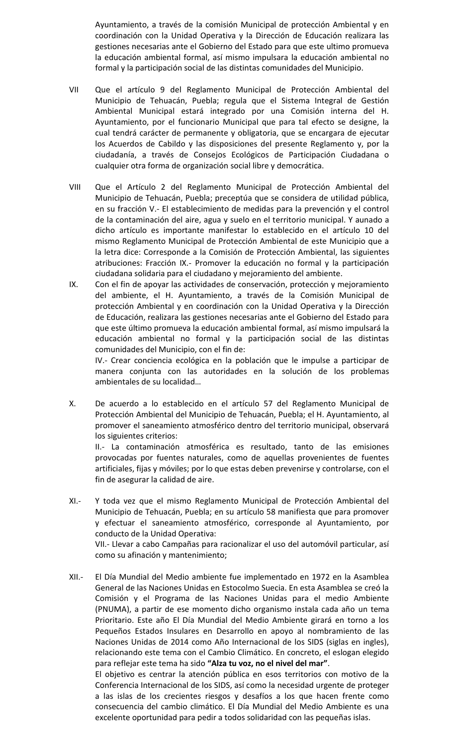Ayuntamiento, a través de la comisión Municipal de protección Ambiental y en coordinación con la Unidad Operativa y la Dirección de Educación realizara las gestiones necesarias ante el Gobierno del Estado para que este ultimo promueva la educación ambiental formal, así mismo impulsara la educación ambiental no formal y la participación social de las distintas comunidades del Municipio.

- VII Que el artículo 9 del Reglamento Municipal de Protección Ambiental del Municipio de Tehuacán, Puebla; regula que el Sistema Integral de Gestión Ambiental Municipal estará integrado por una Comisión interna del H. Ayuntamiento, por el funcionario Municipal que para tal efecto se designe, la cual tendrá carácter de permanente y obligatoria, que se encargara de ejecutar los Acuerdos de Cabildo y las disposiciones del presente Reglamento y, por la ciudadanía, a través de Consejos Ecológicos de Participación Ciudadana o cualquier otra forma de organización social libre y democrática.
- VIII Que el Artículo 2 del Reglamento Municipal de Protección Ambiental del Municipio de Tehuacán, Puebla; preceptúa que se considera de utilidad pública, en su fracción V.- El establecimiento de medidas para la prevención y el control de la contaminación del aire, agua y suelo en el territorio municipal. Y aunado a dicho artículo es importante manifestar lo establecido en el artículo 10 del mismo Reglamento Municipal de Protección Ambiental de este Municipio que a la letra dice: Corresponde a la Comisión de Protección Ambiental, las siguientes atribuciones: Fracción IX.- Promover la educación no formal y la participación ciudadana solidaria para el ciudadano y mejoramiento del ambiente.
- IX. Con el fin de apoyar las actividades de conservación, protección y mejoramiento del ambiente, el H. Ayuntamiento, a través de la Comisión Municipal de protección Ambiental y en coordinación con la Unidad Operativa y la Dirección de Educación, realizara las gestiones necesarias ante el Gobierno del Estado para que este último promueva la educación ambiental formal, así mismo impulsará la educación ambiental no formal y la participación social de las distintas comunidades del Municipio, con el fin de:

IV.- Crear conciencia ecológica en la población que le impulse a participar de manera conjunta con las autoridades en la solución de los problemas ambientales de su localidad…

X. De acuerdo a lo establecido en el artículo 57 del Reglamento Municipal de Protección Ambiental del Municipio de Tehuacán, Puebla; el H. Ayuntamiento, al promover el saneamiento atmosférico dentro del territorio municipal, observará los siguientes criterios:

II.- La contaminación atmosférica es resultado, tanto de las emisiones provocadas por fuentes naturales, como de aquellas provenientes de fuentes artificiales, fijas y móviles; por lo que estas deben prevenirse y controlarse, con el fin de asegurar la calidad de aire.

- XI.- Y toda vez que el mismo Reglamento Municipal de Protección Ambiental del Municipio de Tehuacán, Puebla; en su artículo 58 manifiesta que para promover y efectuar el saneamiento atmosférico, corresponde al Ayuntamiento, por conducto de la Unidad Operativa: VII.- Llevar a cabo Campañas para racionalizar el uso del automóvil particular, así como su afinación y mantenimiento;
- XII.- El Día Mundial del Medio ambiente fue implementado en 1972 en la Asamblea General de las Naciones Unidas en Estocolmo Suecia. En esta Asamblea se creó la Comisión y el Programa de las Naciones Unidas para el medio Ambiente (PNUMA), a partir de ese momento dicho organismo instala cada año un tema Prioritario. Este año El Día Mundial del Medio Ambiente girará en torno a los Pequeños Estados Insulares en Desarrollo en apoyo al nombramiento de las Naciones Unidas de 2014 como Año Internacional de los SIDS (siglas en ingles), relacionando este tema con el Cambio Climático. En concreto, el eslogan elegido para reflejar este tema ha sido **"Alza tu voz, no el nivel del mar"**. El objetivo es centrar la atención pública en esos territorios con motivo de la Conferencia Internacional de los SIDS, así como la necesidad urgente de proteger a las islas de los crecientes riesgos y desafíos a los que hacen frente como

consecuencia del cambio climático. El Día Mundial del Medio Ambiente es una excelente oportunidad para pedir a todos solidaridad con las pequeñas islas.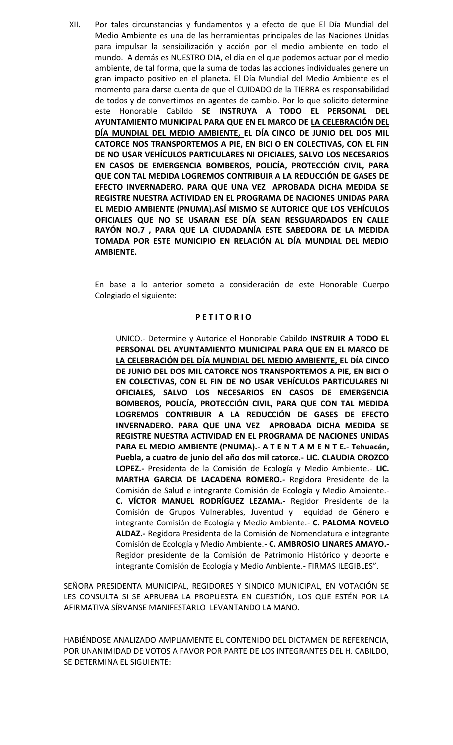XII. Por tales circunstancias y fundamentos y a efecto de que El Día Mundial del Medio Ambiente es una de las herramientas principales de las Naciones Unidas para impulsar la sensibilización y acción por el medio ambiente en todo el mundo. A demás es NUESTRO DIA, el día en el que podemos actuar por el medio ambiente, de tal forma, que la suma de todas las acciones individuales genere un gran impacto positivo en el planeta. El Día Mundial del Medio Ambiente es el momento para darse cuenta de que el CUIDADO de la TIERRA es responsabilidad de todos y de convertirnos en agentes de cambio. Por lo que solicito determine este Honorable Cabildo **SE INSTRUYA A TODO EL PERSONAL DEL AYUNTAMIENTO MUNICIPAL PARA QUE EN EL MARCO DE LA CELEBRACIÓN DEL DÍA MUNDIAL DEL MEDIO AMBIENTE, EL DÍA CINCO DE JUNIO DEL DOS MIL CATORCE NOS TRANSPORTEMOS A PIE, EN BICI O EN COLECTIVAS, CON EL FIN DE NO USAR VEHÍCULOS PARTICULARES NI OFICIALES, SALVO LOS NECESARIOS EN CASOS DE EMERGENCIA BOMBEROS, POLICÍA, PROTECCIÓN CIVIL, PARA QUE CON TAL MEDIDA LOGREMOS CONTRIBUIR A LA REDUCCIÓN DE GASES DE EFECTO INVERNADERO. PARA QUE UNA VEZ APROBADA DICHA MEDIDA SE REGISTRE NUESTRA ACTIVIDAD EN EL PROGRAMA DE NACIONES UNIDAS PARA EL MEDIO AMBIENTE (PNUMA).ASÍ MISMO SE AUTORICE QUE LOS VEHÍCULOS OFICIALES QUE NO SE USARAN ESE DÍA SEAN RESGUARDADOS EN CALLE RAYÓN NO.7 , PARA QUE LA CIUDADANÍA ESTE SABEDORA DE LA MEDIDA TOMADA POR ESTE MUNICIPIO EN RELACIÓN AL DÍA MUNDIAL DEL MEDIO AMBIENTE.**

En base a lo anterior someto a consideración de este Honorable Cuerpo Colegiado el siguiente:

#### **P E T I T O R I O**

UNICO.- Determine y Autorice el Honorable Cabildo **INSTRUIR A TODO EL PERSONAL DEL AYUNTAMIENTO MUNICIPAL PARA QUE EN EL MARCO DE LA CELEBRACIÓN DEL DÍA MUNDIAL DEL MEDIO AMBIENTE, EL DÍA CINCO DE JUNIO DEL DOS MIL CATORCE NOS TRANSPORTEMOS A PIE, EN BICI O EN COLECTIVAS, CON EL FIN DE NO USAR VEHÍCULOS PARTICULARES NI OFICIALES, SALVO LOS NECESARIOS EN CASOS DE EMERGENCIA BOMBEROS, POLICÍA, PROTECCIÓN CIVIL, PARA QUE CON TAL MEDIDA LOGREMOS CONTRIBUIR A LA REDUCCIÓN DE GASES DE EFECTO INVERNADERO. PARA QUE UNA VEZ APROBADA DICHA MEDIDA SE REGISTRE NUESTRA ACTIVIDAD EN EL PROGRAMA DE NACIONES UNIDAS PARA EL MEDIO AMBIENTE (PNUMA).- A T E N T A M E N T E.- Tehuacán, Puebla, a cuatro de junio del año dos mil catorce.- LIC. CLAUDIA OROZCO LOPEZ.-** Presidenta de la Comisión de Ecología y Medio Ambiente.- **LIC. MARTHA GARCIA DE LACADENA ROMERO.-** Regidora Presidente de la Comisión de Salud e integrante Comisión de Ecología y Medio Ambiente.- **C. VÍCTOR MANUEL RODRÍGUEZ LEZAMA.-** Regidor Presidente de la Comisión de Grupos Vulnerables, Juventud y equidad de Género e integrante Comisión de Ecología y Medio Ambiente.- **C. PALOMA NOVELO ALDAZ.-** Regidora Presidenta de la Comisión de Nomenclatura e integrante Comisión de Ecología y Medio Ambiente.- **C. AMBROSIO LINARES AMAYO.-** Regidor presidente de la Comisión de Patrimonio Histórico y deporte e integrante Comisión de Ecología y Medio Ambiente.- FIRMAS ILEGIBLES".

SEÑORA PRESIDENTA MUNICIPAL, REGIDORES Y SINDICO MUNICIPAL, EN VOTACIÓN SE LES CONSULTA SI SE APRUEBA LA PROPUESTA EN CUESTIÓN, LOS QUE ESTÉN POR LA AFIRMATIVA SÍRVANSE MANIFESTARLO LEVANTANDO LA MANO.

HABIÉNDOSE ANALIZADO AMPLIAMENTE EL CONTENIDO DEL DICTAMEN DE REFERENCIA, POR UNANIMIDAD DE VOTOS A FAVOR POR PARTE DE LOS INTEGRANTES DEL H. CABILDO, SE DETERMINA EL SIGUIENTE: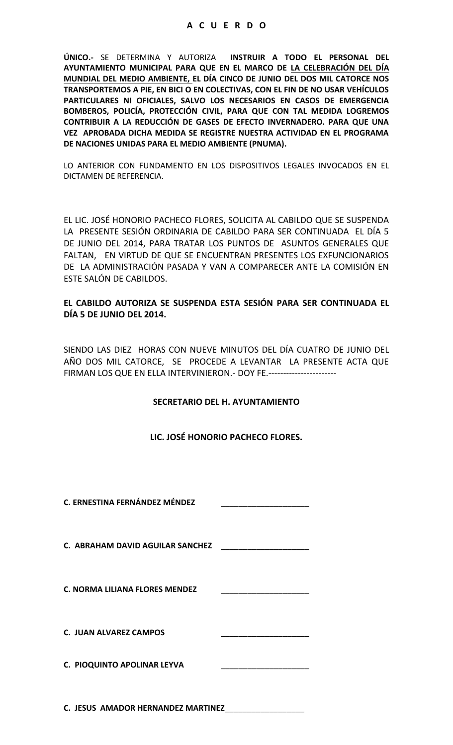**ÚNICO.-** SE DETERMINA Y AUTORIZA **INSTRUIR A TODO EL PERSONAL DEL AYUNTAMIENTO MUNICIPAL PARA QUE EN EL MARCO DE LA CELEBRACIÓN DEL DÍA MUNDIAL DEL MEDIO AMBIENTE, EL DÍA CINCO DE JUNIO DEL DOS MIL CATORCE NOS TRANSPORTEMOS A PIE, EN BICI O EN COLECTIVAS, CON EL FIN DE NO USAR VEHÍCULOS PARTICULARES NI OFICIALES, SALVO LOS NECESARIOS EN CASOS DE EMERGENCIA BOMBEROS, POLICÍA, PROTECCIÓN CIVIL, PARA QUE CON TAL MEDIDA LOGREMOS CONTRIBUIR A LA REDUCCIÓN DE GASES DE EFECTO INVERNADERO. PARA QUE UNA VEZ APROBADA DICHA MEDIDA SE REGISTRE NUESTRA ACTIVIDAD EN EL PROGRAMA DE NACIONES UNIDAS PARA EL MEDIO AMBIENTE (PNUMA).**

LO ANTERIOR CON FUNDAMENTO EN LOS DISPOSITIVOS LEGALES INVOCADOS EN EL DICTAMEN DE REFERENCIA.

EL LIC. JOSÉ HONORIO PACHECO FLORES, SOLICITA AL CABILDO QUE SE SUSPENDA LA PRESENTE SESIÓN ORDINARIA DE CABILDO PARA SER CONTINUADA EL DÍA 5 DE JUNIO DEL 2014, PARA TRATAR LOS PUNTOS DE ASUNTOS GENERALES QUE FALTAN, EN VIRTUD DE QUE SE ENCUENTRAN PRESENTES LOS EXFUNCIONARIOS DE LA ADMINISTRACIÓN PASADA Y VAN A COMPARECER ANTE LA COMISIÓN EN ESTE SALÓN DE CABILDOS.

## **EL CABILDO AUTORIZA SE SUSPENDA ESTA SESIÓN PARA SER CONTINUADA EL DÍA 5 DE JUNIO DEL 2014.**

SIENDO LAS DIEZ HORAS CON NUEVE MINUTOS DEL DÍA CUATRO DE JUNIO DEL AÑO DOS MIL CATORCE, SE PROCEDE A LEVANTAR LA PRESENTE ACTA QUE FIRMAN LOS QUE EN ELLA INTERVINIERON.- DOY FE.-----------------------

## **SECRETARIO DEL H. AYUNTAMIENTO**

## **LIC. JOSÉ HONORIO PACHECO FLORES.**

**C. ERNESTINA FERNÁNDEZ MÉNDEZ** \_\_\_\_\_\_\_\_\_\_\_\_\_\_\_\_\_\_\_\_

**C. ABRAHAM DAVID AGUILAR SANCHEZ** \_\_\_\_\_\_\_\_\_\_\_\_\_\_\_\_\_\_\_\_

**C. NORMA LILIANA FLORES MENDEZ** \_\_\_\_\_\_\_\_\_\_\_\_\_\_\_\_\_\_\_\_

**C. JUAN ALVAREZ CAMPOS** \_\_\_\_\_\_\_\_\_\_\_\_\_\_\_\_\_\_\_\_

| . |                                                                                                            |
|---|------------------------------------------------------------------------------------------------------------|
|   | المداوسة والمدارسة والمدارسة المتداوسة المعارضات المتداولات المدارسة والمدارسة والمدارسة المعارضة أستحدثهم |
|   |                                                                                                            |
|   |                                                                                                            |
|   |                                                                                                            |
|   |                                                                                                            |
|   |                                                                                                            |
|   |                                                                                                            |
|   |                                                                                                            |
|   |                                                                                                            |
|   |                                                                                                            |

**C. PIOQUINTO APOLINAR LEYVA** 

**C. JESUS AMADOR HERNANDEZ MARTINEZ**\_\_\_\_\_\_\_\_\_\_\_\_\_\_\_\_\_\_